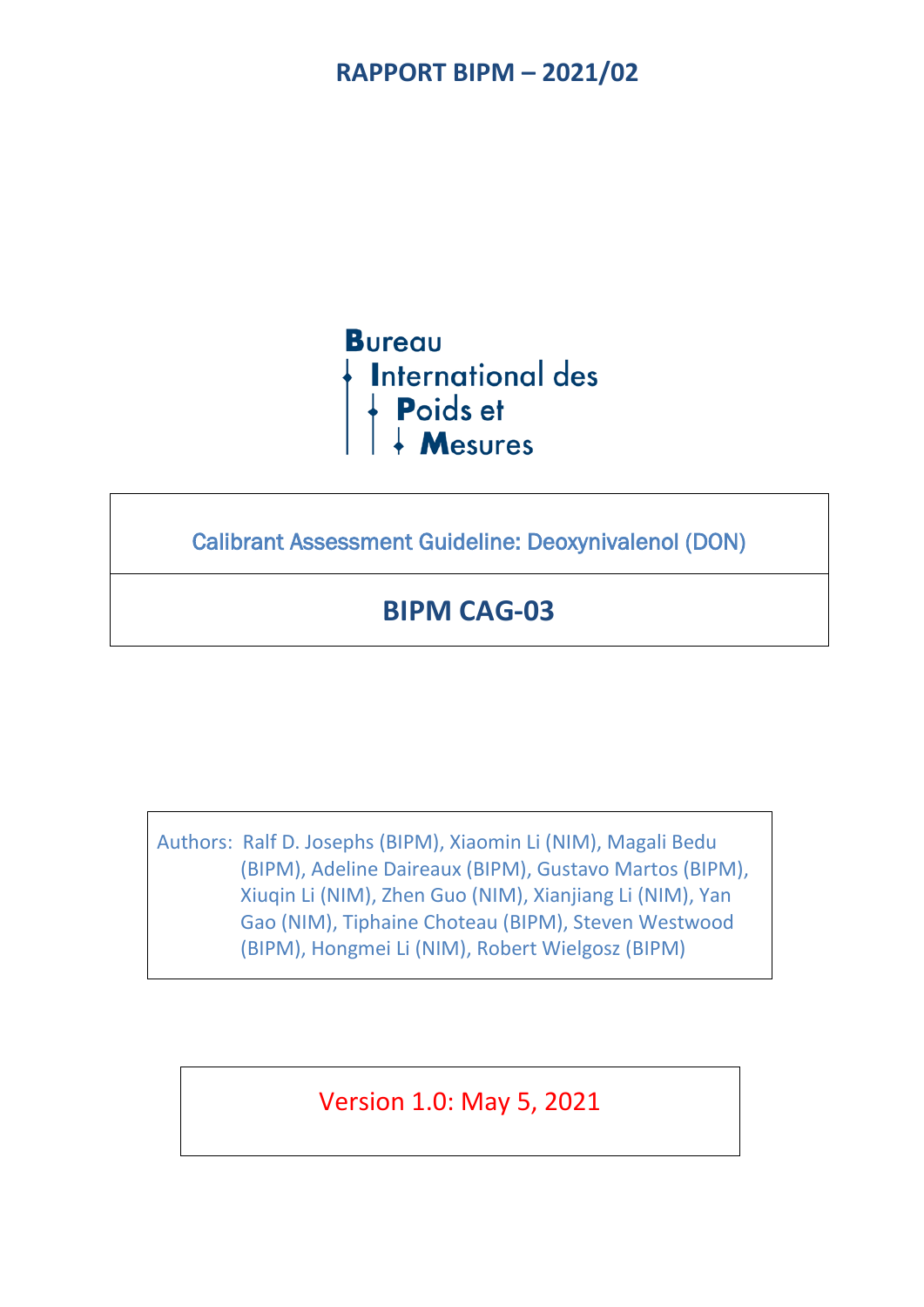## **RAPPORT BIPM – 2021/02**

**Bureau International des** Poids et<br>+ Mesures

Calibrant Assessment Guideline: Deoxynivalenol (DON)

# **BIPM CAG-03**

Authors: Ralf D. Josephs (BIPM), Xiaomin Li (NIM), Magali Bedu (BIPM), Adeline Daireaux (BIPM), Gustavo Martos (BIPM), Xiuqin Li (NIM), Zhen Guo (NIM), Xianjiang Li (NIM), Yan Gao (NIM), Tiphaine Choteau (BIPM), Steven Westwood (BIPM), Hongmei Li (NIM), Robert Wielgosz (BIPM)

Version 1.0: May 5, 2021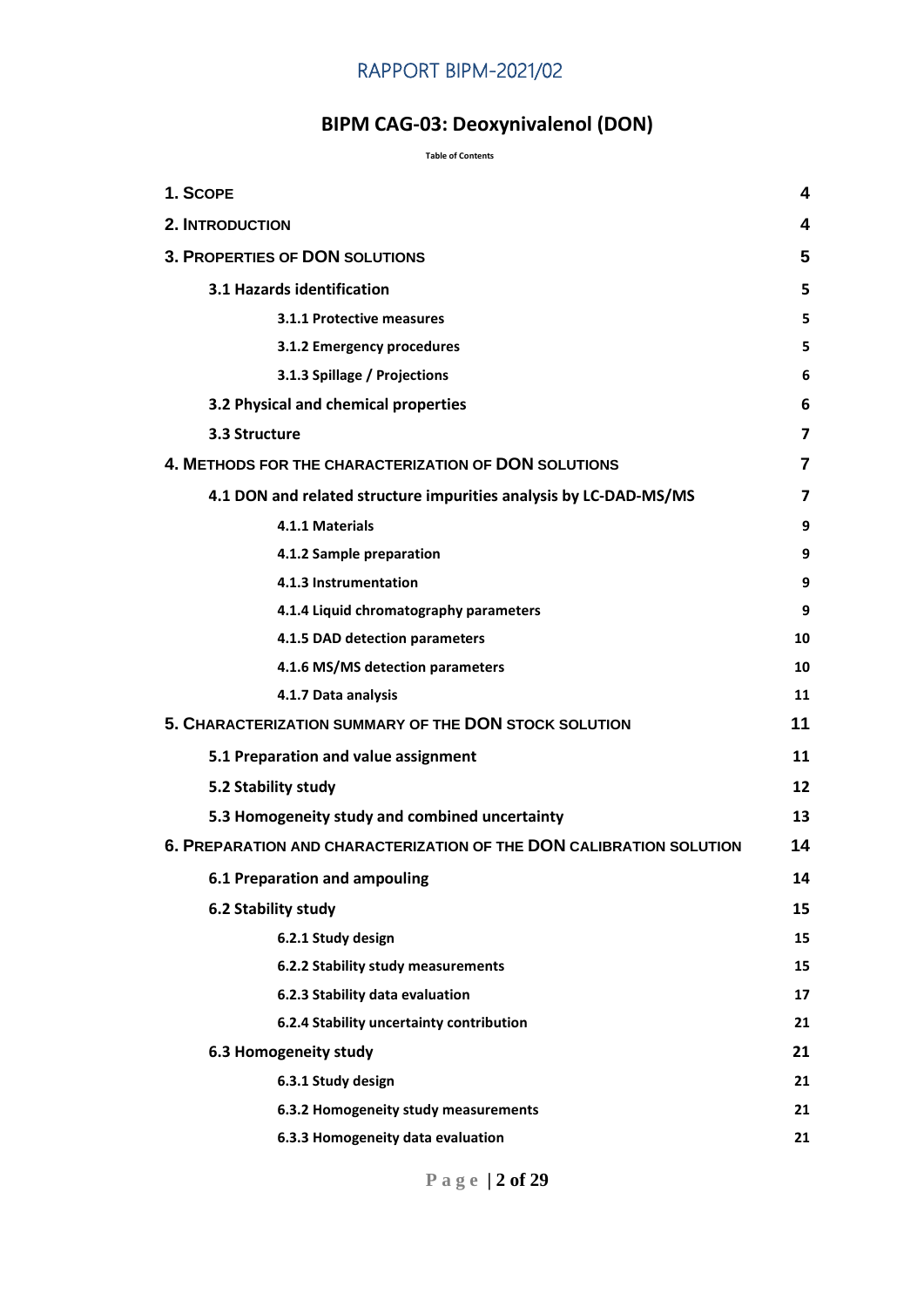## RAPPORT BIPM-2021/02

# **BIPM CAG-03: Deoxynivalenol (DON)**

#### **Table of Contents**

| 1. SCOPE                                                            | 4              |
|---------------------------------------------------------------------|----------------|
| <b>2. INTRODUCTION</b>                                              | 4              |
| <b>3. PROPERTIES OF DON SOLUTIONS</b>                               | 5              |
|                                                                     |                |
| 3.1 Hazards identification                                          | 5              |
| 3.1.1 Protective measures                                           | 5              |
| 3.1.2 Emergency procedures                                          | 5              |
| 3.1.3 Spillage / Projections                                        | 6              |
| 3.2 Physical and chemical properties                                | 6              |
| 3.3 Structure                                                       | $\overline{ }$ |
| 4. METHODS FOR THE CHARACTERIZATION OF DON SOLUTIONS                | 7              |
| 4.1 DON and related structure impurities analysis by LC-DAD-MS/MS   | 7              |
| 4.1.1 Materials                                                     | 9              |
| 4.1.2 Sample preparation                                            | 9              |
| 4.1.3 Instrumentation                                               | 9              |
| 4.1.4 Liquid chromatography parameters                              | 9              |
| 4.1.5 DAD detection parameters                                      | 10             |
| 4.1.6 MS/MS detection parameters                                    | 10             |
| 4.1.7 Data analysis                                                 | 11             |
| 5. CHARACTERIZATION SUMMARY OF THE DON STOCK SOLUTION               | 11             |
| 5.1 Preparation and value assignment                                | 11             |
| 5.2 Stability study                                                 | 12             |
| 5.3 Homogeneity study and combined uncertainty                      | 13             |
| 6. PREPARATION AND CHARACTERIZATION OF THE DON CALIBRATION SOLUTION | 14             |
| <b>6.1 Preparation and ampouling</b>                                | 14             |
| 6.2 Stability study                                                 | 15             |
| 6.2.1 Study design                                                  | 15             |
| 6.2.2 Stability study measurements                                  | 15             |
| 6.2.3 Stability data evaluation                                     | 17             |
| 6.2.4 Stability uncertainty contribution                            | 21             |
| 6.3 Homogeneity study                                               | 21             |
| 6.3.1 Study design                                                  | 21             |
| 6.3.2 Homogeneity study measurements                                | 21             |
| 6.3.3 Homogeneity data evaluation                                   | 21             |

**Page | 2 of 29**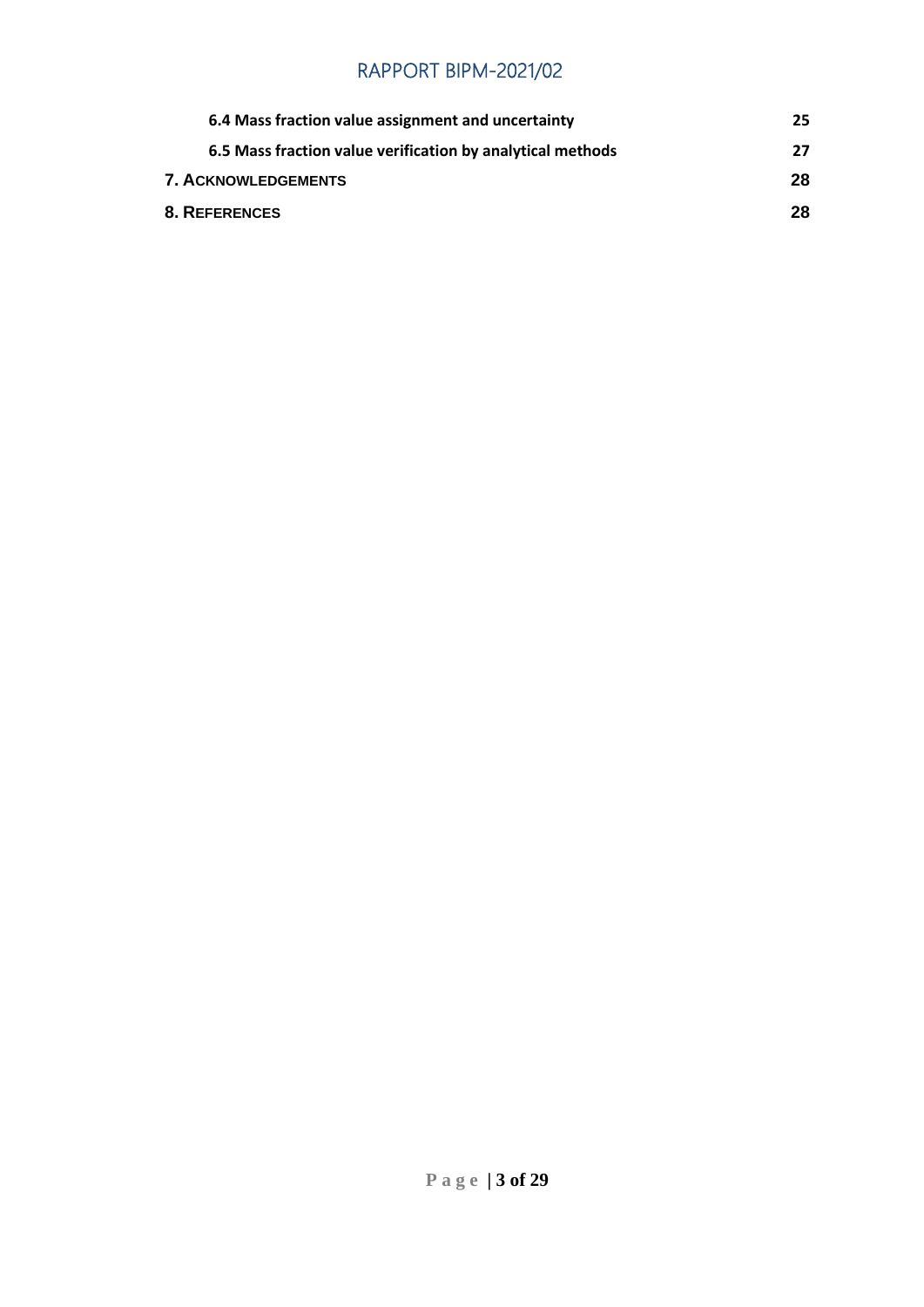## RAPPORT BIPM-2021/02

| 6.4 Mass fraction value assignment and uncertainty         | 25. |
|------------------------------------------------------------|-----|
| 6.5 Mass fraction value verification by analytical methods | 27  |
| <b>7. ACKNOWLEDGEMENTS</b>                                 | 28  |
| <b>8. REFERENCES</b>                                       | 28  |
|                                                            |     |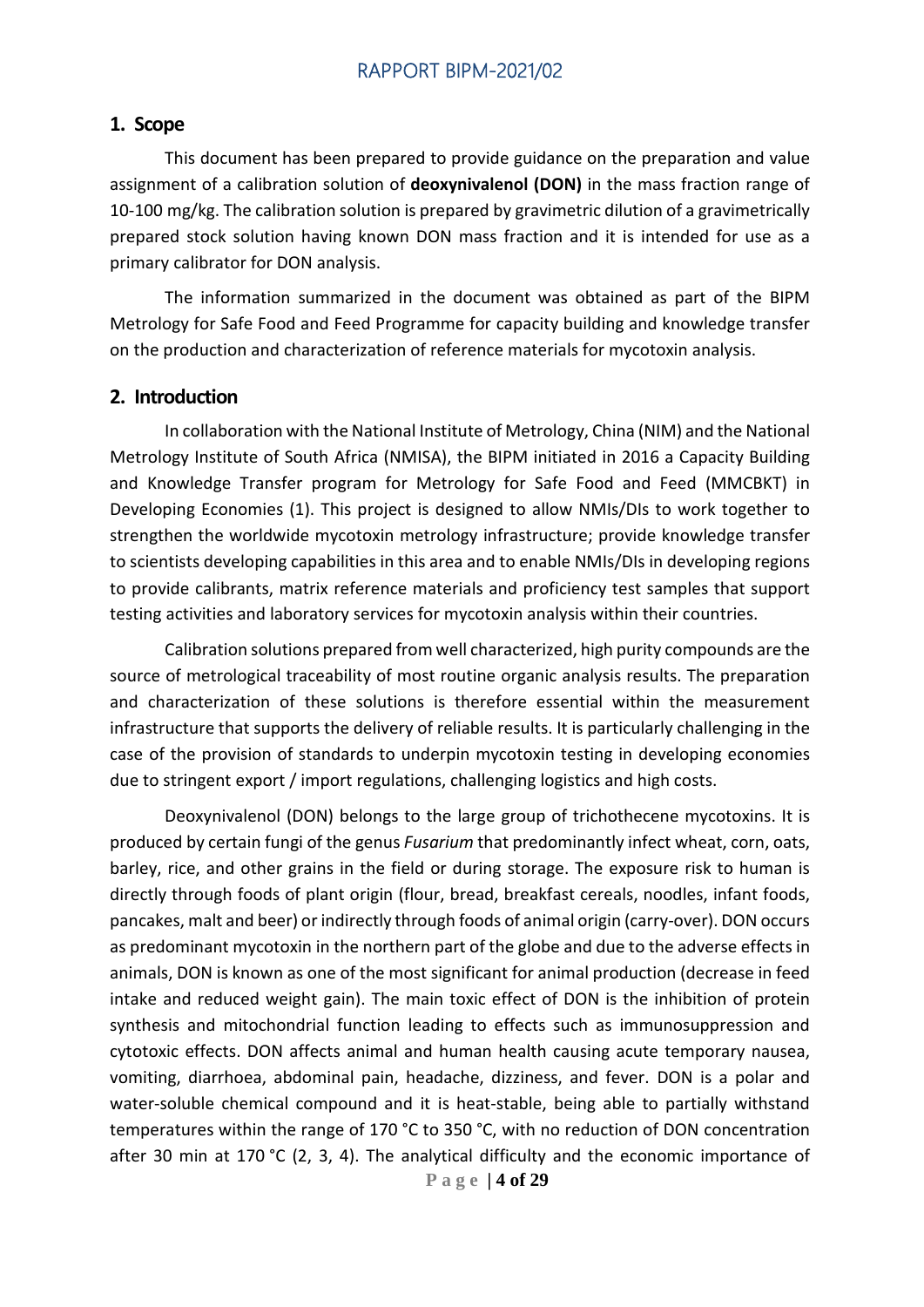#### <span id="page-3-0"></span>**1. Scope**

This document has been prepared to provide guidance on the preparation and value assignment of a calibration solution of **deoxynivalenol (DON)** in the mass fraction range of 10-100 mg/kg. The calibration solution is prepared by gravimetric dilution of a gravimetrically prepared stock solution having known DON mass fraction and it is intended for use as a primary calibrator for DON analysis.

The information summarized in the document was obtained as part of the BIPM Metrology for Safe Food and Feed Programme for capacity building and knowledge transfer on the production and characterization of reference materials for mycotoxin analysis.

#### <span id="page-3-1"></span>**2. Introduction**

In collaboration with the National Institute of Metrology, China (NIM) and the National Metrology Institute of South Africa (NMISA), the BIPM initiated in 2016 a Capacity Building and Knowledge Transfer program for Metrology for Safe Food and Feed (MMCBKT) in Developing Economies (1). This project is designed to allow NMIs/DIs to work together to strengthen the worldwide mycotoxin metrology infrastructure; provide knowledge transfer to scientists developing capabilities in this area and to enable NMIs/DIs in developing regions to provide calibrants, matrix reference materials and proficiency test samples that support testing activities and laboratory services for mycotoxin analysis within their countries.

Calibration solutions prepared from well characterized, high purity compounds are the source of metrological traceability of most routine organic analysis results. The preparation and characterization of these solutions is therefore essential within the measurement infrastructure that supports the delivery of reliable results. It is particularly challenging in the case of the provision of standards to underpin mycotoxin testing in developing economies due to stringent export / import regulations, challenging logistics and high costs.

Deoxynivalenol (DON) belongs to the large group of trichothecene mycotoxins. It is produced by certain fungi of the genus *Fusarium* that predominantly infect wheat, corn, oats, barley, rice, and other grains in the field or during storage. The exposure risk to human is directly through foods of plant origin (flour, bread, breakfast cereals, noodles, infant foods, pancakes, malt and beer) or indirectly through foods of animal origin (carry-over). DON occurs as predominant mycotoxin in the northern part of the globe and due to the adverse effects in animals, DON is known as one of the most significant for animal production (decrease in feed intake and reduced weight gain). The main toxic effect of DON is the inhibition of protein synthesis and mitochondrial function leading to effects such as immunosuppression and cytotoxic effects. DON affects animal and human health causing acute temporary nausea, vomiting, diarrhoea, abdominal pain, headache, dizziness, and fever. DON is a polar and water-soluble chemical compound and it is heat-stable, being able to partially withstand temperatures within the range of 170 °C to 350 °C, with no reduction of DON concentration after 30 min at 170 °C (2, 3, 4). The analytical difficulty and the economic importance of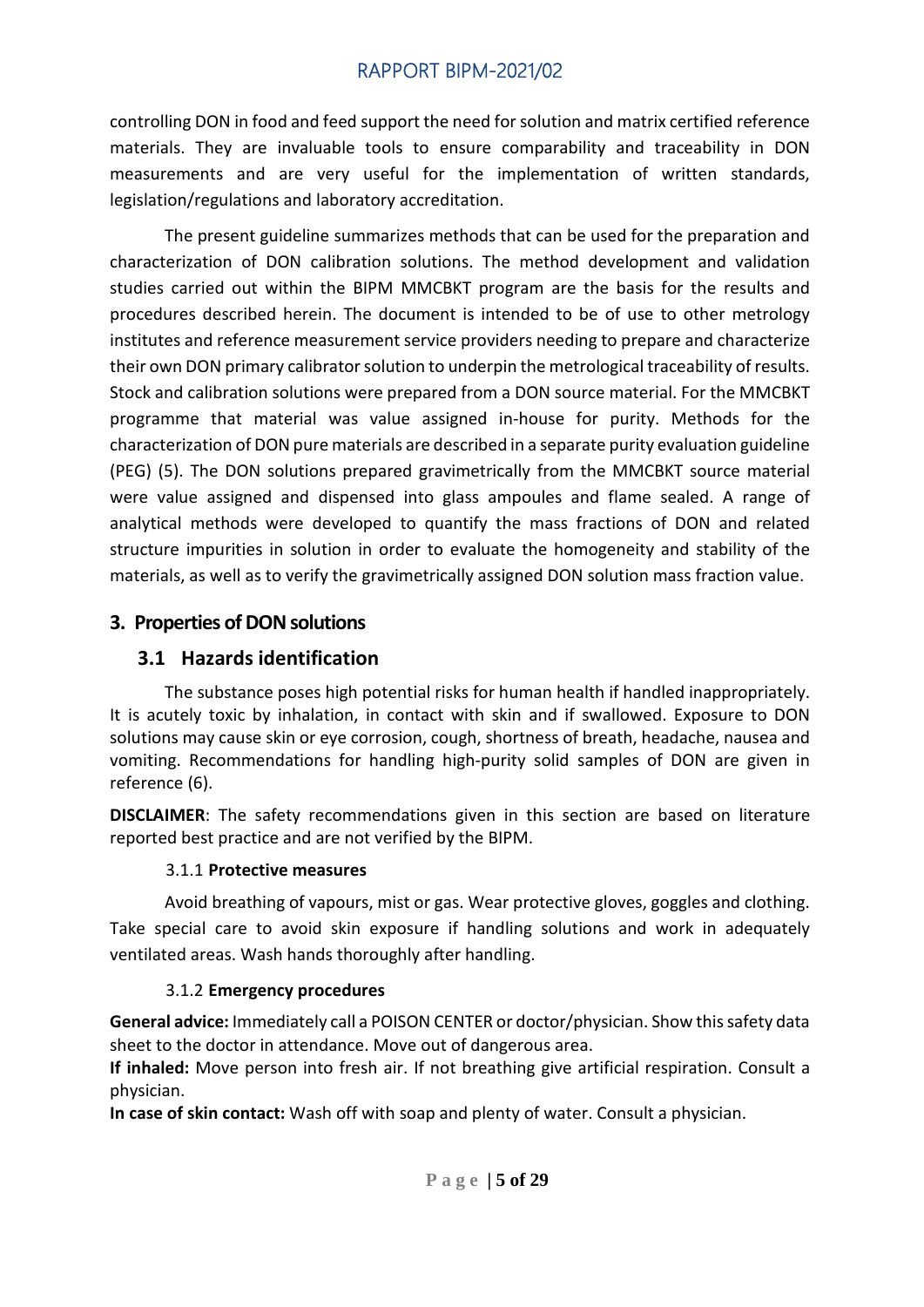controlling DON in food and feed support the need for solution and matrix certified reference materials. They are invaluable tools to ensure comparability and traceability in DON measurements and are very useful for the implementation of written standards, legislation/regulations and laboratory accreditation.

The present guideline summarizes methods that can be used for the preparation and characterization of DON calibration solutions. The method development and validation studies carried out within the BIPM MMCBKT program are the basis for the results and procedures described herein. The document is intended to be of use to other metrology institutes and reference measurement service providers needing to prepare and characterize their own DON primary calibrator solution to underpin the metrological traceability of results. Stock and calibration solutions were prepared from a DON source material. For the MMCBKT programme that material was value assigned in-house for purity. Methods for the characterization of DON pure materials are described in a separate purity evaluation guideline (PEG) (5). The DON solutions prepared gravimetrically from the MMCBKT source material were value assigned and dispensed into glass ampoules and flame sealed. A range of analytical methods were developed to quantify the mass fractions of DON and related structure impurities in solution in order to evaluate the homogeneity and stability of the materials, as well as to verify the gravimetrically assigned DON solution mass fraction value.

## <span id="page-4-0"></span>**3. Properties of DON solutions**

## <span id="page-4-1"></span>**3.1 Hazards identification**

The substance poses high potential risks for human health if handled inappropriately. It is acutely toxic by inhalation, in contact with skin and if swallowed. Exposure to DON solutions may cause skin or eye corrosion, cough, shortness of breath, headache, nausea and vomiting. Recommendations for handling high-purity solid samples of DON are given in reference (6).

**DISCLAIMER**: The safety recommendations given in this section are based on literature reported best practice and are not verified by the BIPM.

#### 3.1.1 **Protective measures**

<span id="page-4-2"></span>Avoid breathing of vapours, mist or gas. Wear protective gloves, goggles and clothing. Take special care to avoid skin exposure if handling solutions and work in adequately ventilated areas. Wash hands thoroughly after handling.

## 3.1.2 **Emergency procedures**

<span id="page-4-3"></span>**General advice:** Immediately call a POISON CENTER or doctor/physician. Show this safety data sheet to the doctor in attendance. Move out of dangerous area.

**If inhaled:** Move person into fresh air. If not breathing give artificial respiration. Consult a physician.

**In case of skin contact:** Wash off with soap and plenty of water. Consult a physician.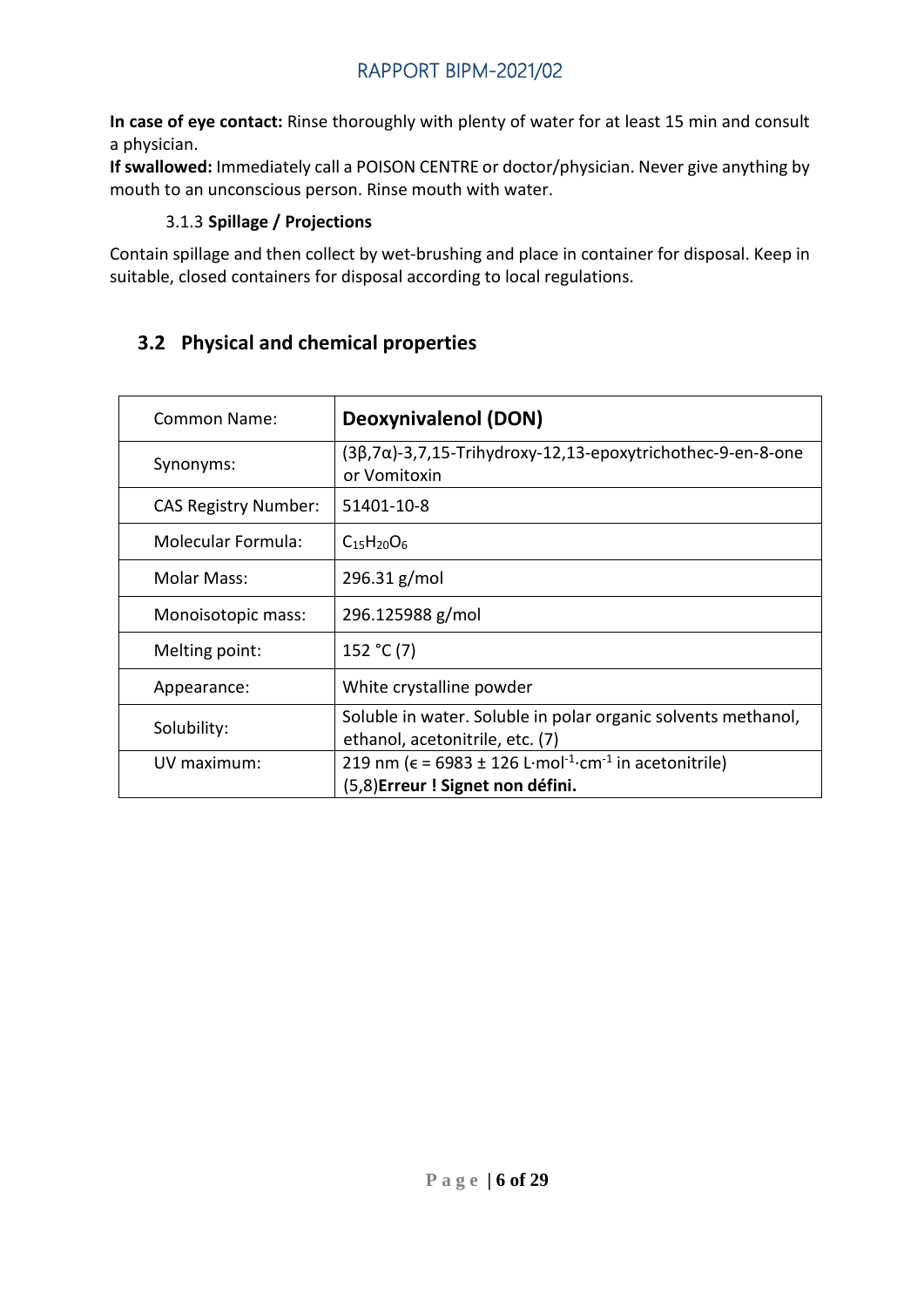**In case of eye contact:** Rinse thoroughly with plenty of water for at least 15 min and consult a physician.

**If swallowed:** Immediately call a POISON CENTRE or doctor/physician. Never give anything by mouth to an unconscious person. Rinse mouth with water.

## 3.1.3 **Spillage / Projections**

<span id="page-5-0"></span>Contain spillage and then collect by wet-brushing and place in container for disposal. Keep in suitable, closed containers for disposal according to local regulations.

## <span id="page-5-1"></span>**3.2 Physical and chemical properties**

| Common Name:                | <b>Deoxynivalenol (DON)</b>                                                                                                  |
|-----------------------------|------------------------------------------------------------------------------------------------------------------------------|
| Synonyms:                   | $(3\beta,7\alpha)$ -3,7,15-Trihydroxy-12,13-epoxytrichothec-9-en-8-one<br>or Vomitoxin                                       |
| <b>CAS Registry Number:</b> | 51401-10-8                                                                                                                   |
| <b>Molecular Formula:</b>   | $C_{15}H_{20}O_6$                                                                                                            |
| <b>Molar Mass:</b>          | 296.31 g/mol                                                                                                                 |
| Monoisotopic mass:          | 296.125988 g/mol                                                                                                             |
| Melting point:              | 152 °C (7)                                                                                                                   |
| Appearance:                 | White crystalline powder                                                                                                     |
| Solubility:                 | Soluble in water. Soluble in polar organic solvents methanol,<br>ethanol, acetonitrile, etc. (7)                             |
| UV maximum:                 | 219 nm ( $\epsilon$ = 6983 ± 126 L·mol <sup>-1</sup> ·cm <sup>-1</sup> in acetonitrile)<br>(5,8) Erreur ! Signet non défini. |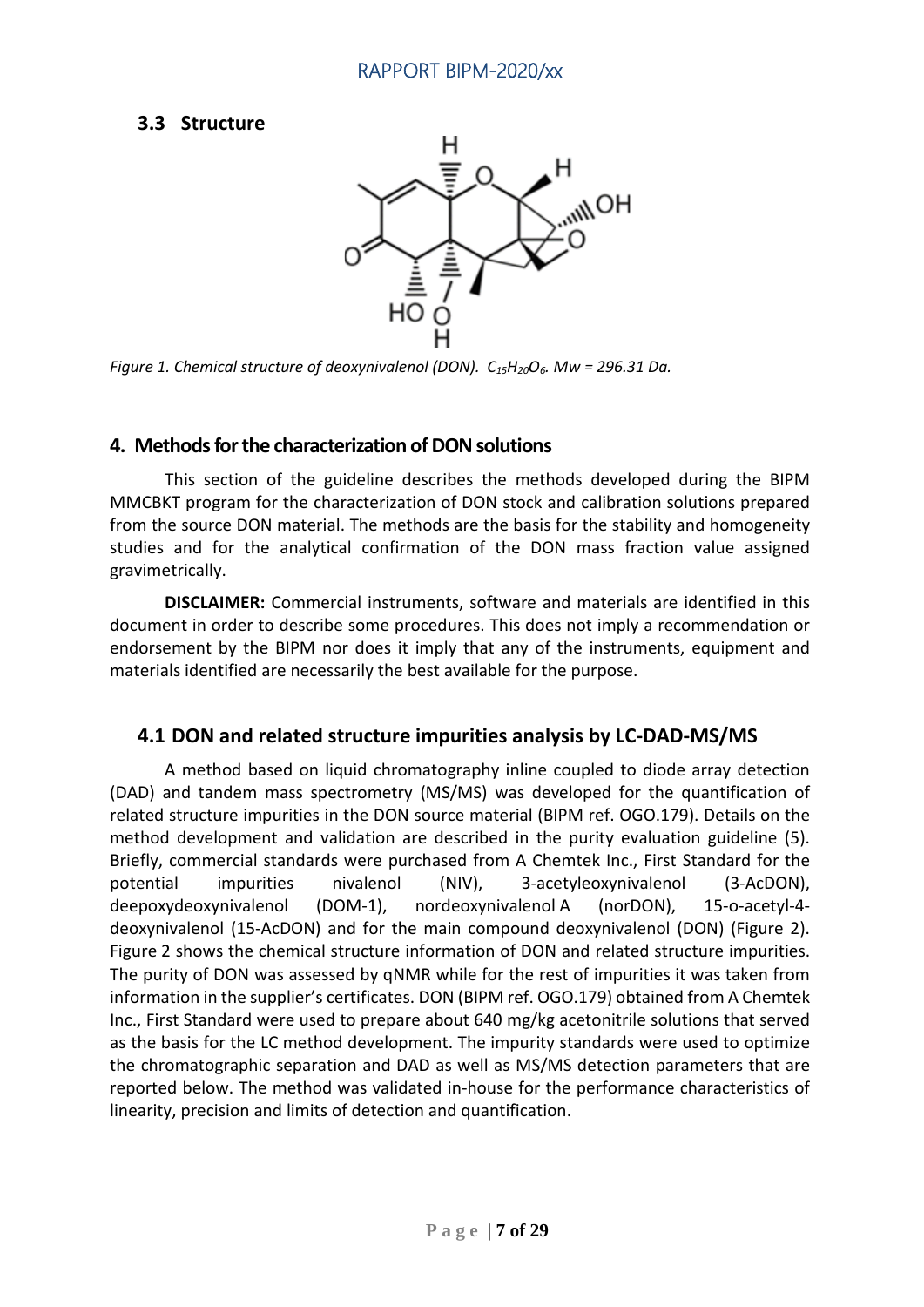## <span id="page-6-0"></span>**3.3 Structure**



*Figure 1. Chemical structure of deoxynivalenol (DON). C15H20O6. Mw = 296.31 Da.*

## <span id="page-6-1"></span>**4. Methods for the characterization of DONsolutions**

This section of the guideline describes the methods developed during the BIPM MMCBKT program for the characterization of DON stock and calibration solutions prepared from the source DON material. The methods are the basis for the stability and homogeneity studies and for the analytical confirmation of the DON mass fraction value assigned gravimetrically.

**DISCLAIMER:** Commercial instruments, software and materials are identified in this document in order to describe some procedures. This does not imply a recommendation or endorsement by the BIPM nor does it imply that any of the instruments, equipment and materials identified are necessarily the best available for the purpose.

## <span id="page-6-2"></span>**4.1 DON and related structure impurities analysis by LC-DAD-MS/MS**

A method based on liquid chromatography inline coupled to diode array detection (DAD) and tandem mass spectrometry (MS/MS) was developed for the quantification of related structure impurities in the DON source material (BIPM ref. OGO.179). Details on the method development and validation are described in the purity evaluation guideline (5). Briefly, commercial standards were purchased from A Chemtek Inc., First Standard for the potential impurities nivalenol (NIV), 3-acetyleoxynivalenol (3-AcDON), deepoxydeoxynivalenol (DOM-1), nordeoxynivalenol A (norDON), 15-o-acetyl-4 deoxynivalenol (15-AcDON) and for the main compound deoxynivalenol (DON) (Figure 2). Figure 2 shows the chemical structure information of DON and related structure impurities. The purity of DON was assessed by qNMR while for the rest of impurities it was taken from information in the supplier's certificates. DON (BIPM ref. OGO.179) obtained from A Chemtek Inc., First Standard were used to prepare about 640 mg/kg acetonitrile solutions that served as the basis for the LC method development. The impurity standards were used to optimize the chromatographic separation and DAD as well as MS/MS detection parameters that are reported below. The method was validated in-house for the performance characteristics of linearity, precision and limits of detection and quantification.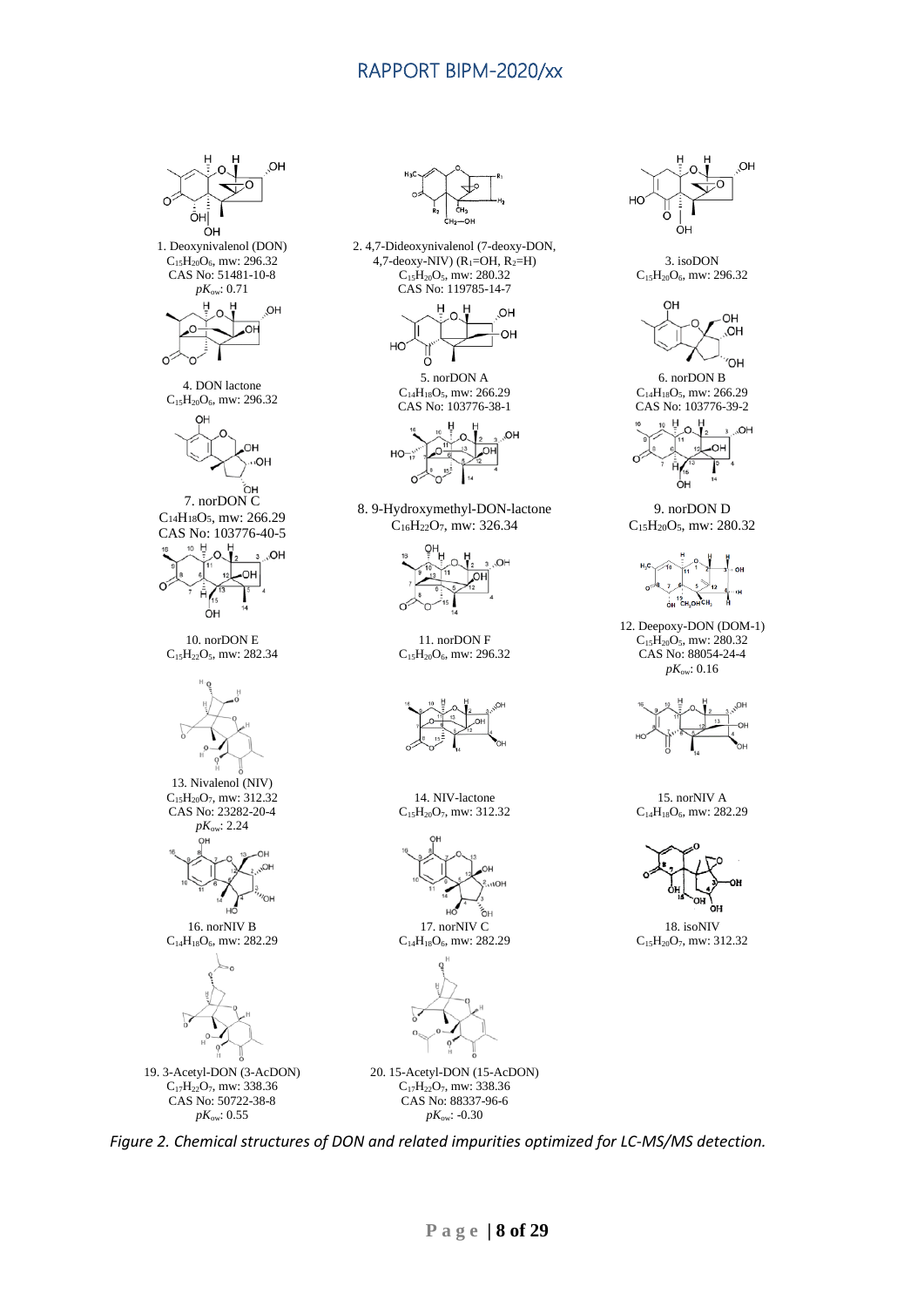OH

 $\Omega$ 



*Figure 2. Chemical structures of DON and related impurities optimized for LC-MS/MS detection.*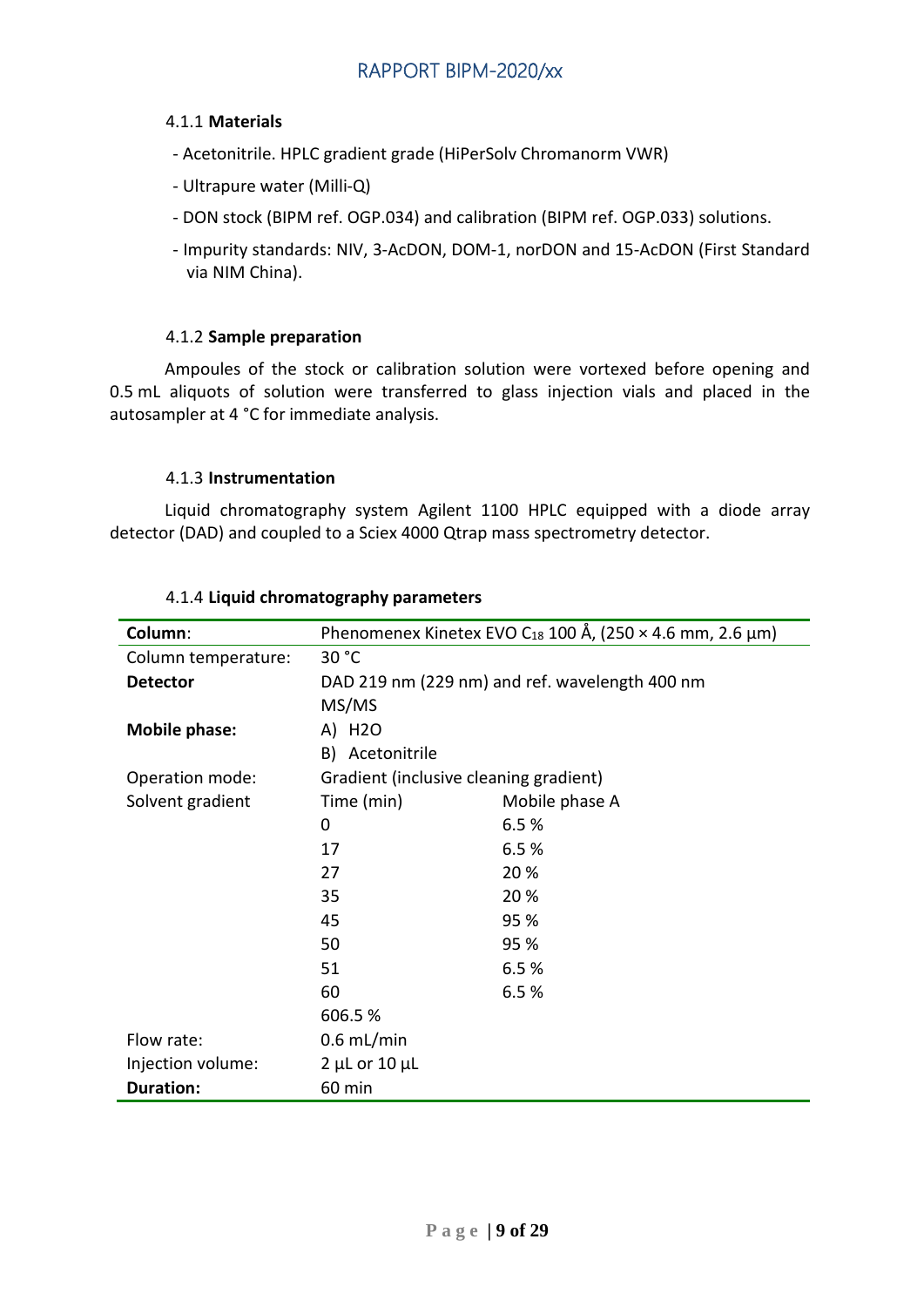#### <span id="page-8-0"></span>4.1.1 **Materials**

- Acetonitrile. HPLC gradient grade (HiPerSolv Chromanorm VWR)
- Ultrapure water (Milli-Q)
- DON stock (BIPM ref. OGP.034) and calibration (BIPM ref. OGP.033) solutions.
- Impurity standards: NIV, 3-AcDON, DOM-1, norDON and 15-AcDON (First Standard via NIM China).

#### 4.1.2 **Sample preparation**

<span id="page-8-1"></span>Ampoules of the stock or calibration solution were vortexed before opening and 0.5 mL aliquots of solution were transferred to glass injection vials and placed in the autosampler at 4 °C for immediate analysis.

#### 4.1.3 **Instrumentation**

<span id="page-8-2"></span>Liquid chromatography system Agilent 1100 HPLC equipped with a diode array detector (DAD) and coupled to a Sciex 4000 Qtrap mass spectrometry detector.

<span id="page-8-3"></span>

| Column:              | Phenomenex Kinetex EVO C <sub>18</sub> 100 Å, (250 $\times$ 4.6 mm, 2.6 µm) |                |  |  |
|----------------------|-----------------------------------------------------------------------------|----------------|--|--|
| Column temperature:  | 30 °C                                                                       |                |  |  |
| <b>Detector</b>      | DAD 219 nm (229 nm) and ref. wavelength 400 nm                              |                |  |  |
|                      | MS/MS                                                                       |                |  |  |
| <b>Mobile phase:</b> | A) H2O                                                                      |                |  |  |
|                      | B) Acetonitrile                                                             |                |  |  |
| Operation mode:      | Gradient (inclusive cleaning gradient)                                      |                |  |  |
| Solvent gradient     | Time (min)                                                                  | Mobile phase A |  |  |
|                      | 0                                                                           | 6.5%           |  |  |
|                      | 17                                                                          | 6.5%           |  |  |
|                      | 27                                                                          | 20%            |  |  |
|                      | 35                                                                          | 20 %           |  |  |
|                      | 45                                                                          | 95 %           |  |  |
|                      | 50                                                                          | 95 %           |  |  |
|                      | 51                                                                          | 6.5%           |  |  |
|                      | 60                                                                          | 6.5%           |  |  |
|                      | 606.5%                                                                      |                |  |  |
| Flow rate:           | $0.6$ mL/min                                                                |                |  |  |
| Injection volume:    | $2$ µL or $10$ µL                                                           |                |  |  |
| <b>Duration:</b>     | 60 min                                                                      |                |  |  |

#### 4.1.4 **Liquid chromatography parameters**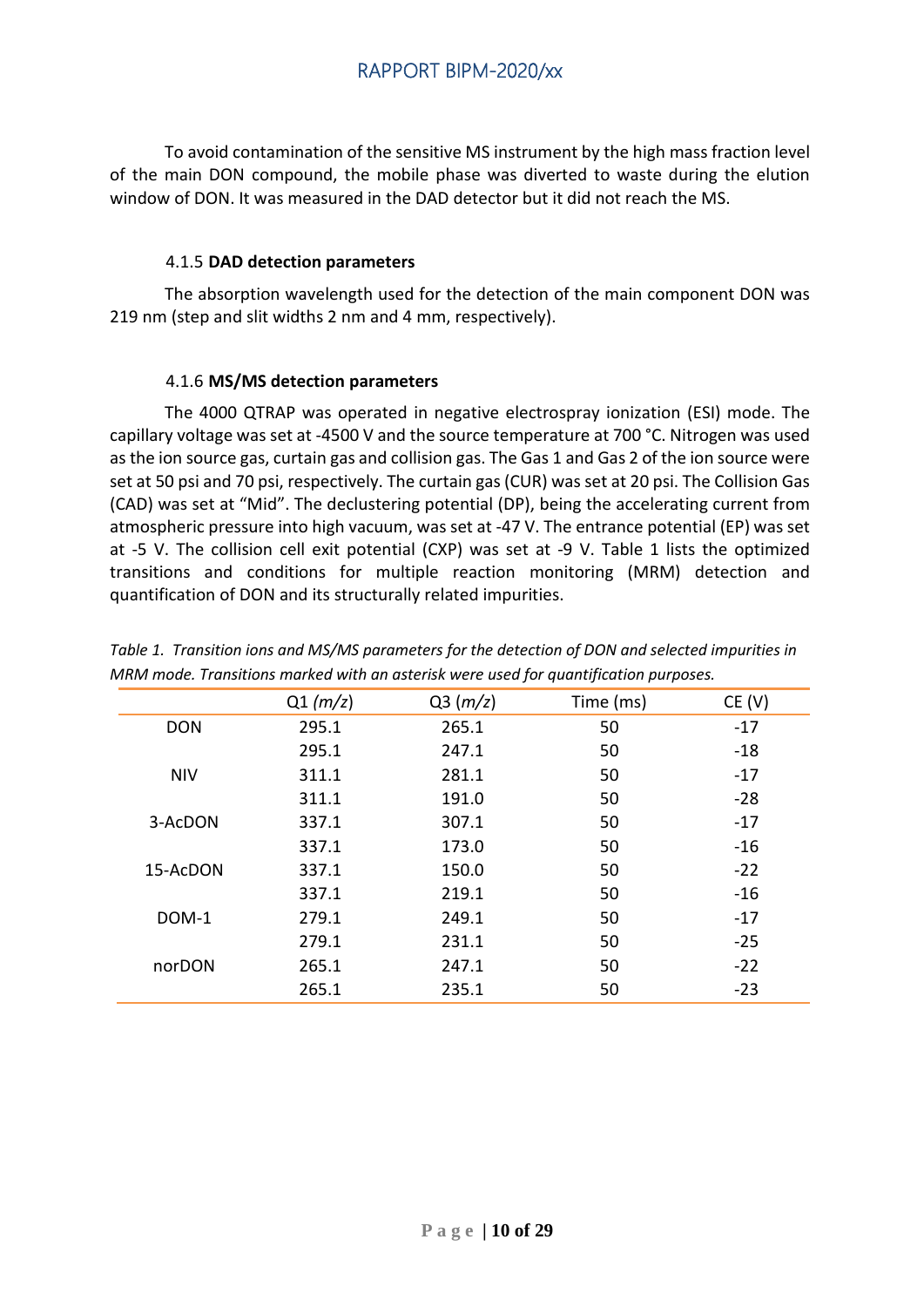To avoid contamination of the sensitive MS instrument by the high mass fraction level of the main DON compound, the mobile phase was diverted to waste during the elution window of DON. It was measured in the DAD detector but it did not reach the MS.

#### 4.1.5 **DAD detection parameters**

<span id="page-9-0"></span>The absorption wavelength used for the detection of the main component DON was 219 nm (step and slit widths 2 nm and 4 mm, respectively).

#### 4.1.6 **MS/MS detection parameters**

<span id="page-9-1"></span>The 4000 QTRAP was operated in negative electrospray ionization (ESI) mode. The capillary voltage was set at -4500 V and the source temperature at 700 °C. Nitrogen was used as the ion source gas, curtain gas and collision gas. The Gas 1 and Gas 2 of the ion source were set at 50 psi and 70 psi, respectively. The curtain gas (CUR) was set at 20 psi. The Collision Gas (CAD) was set at "Mid". The declustering potential (DP), being the accelerating current from atmospheric pressure into high vacuum, was set at -47 V. The entrance potential (EP) was set at -5 V. The collision cell exit potential (CXP) was set at -9 V. Table 1 lists the optimized transitions and conditions for multiple reaction monitoring (MRM) detection and quantification of DON and its structurally related impurities.

|            | Q1(m/z) | Q3(m/z) | Time (ms) | CE (V) |
|------------|---------|---------|-----------|--------|
| <b>DON</b> | 295.1   | 265.1   | 50        | $-17$  |
|            | 295.1   | 247.1   | 50        | $-18$  |
| <b>NIV</b> | 311.1   | 281.1   | 50        | $-17$  |
|            | 311.1   | 191.0   | 50        | $-28$  |
| 3-AcDON    | 337.1   | 307.1   | 50        | $-17$  |
|            | 337.1   | 173.0   | 50        | $-16$  |
| 15-AcDON   | 337.1   | 150.0   | 50        | $-22$  |
|            | 337.1   | 219.1   | 50        | $-16$  |
| DOM-1      | 279.1   | 249.1   | 50        | $-17$  |
|            | 279.1   | 231.1   | 50        | $-25$  |
| norDON     | 265.1   | 247.1   | 50        | $-22$  |
|            | 265.1   | 235.1   | 50        | $-23$  |

*Table 1. Transition ions and MS/MS parameters for the detection of DON and selected impurities in MRM mode. Transitions marked with an asterisk were used for quantification purposes.*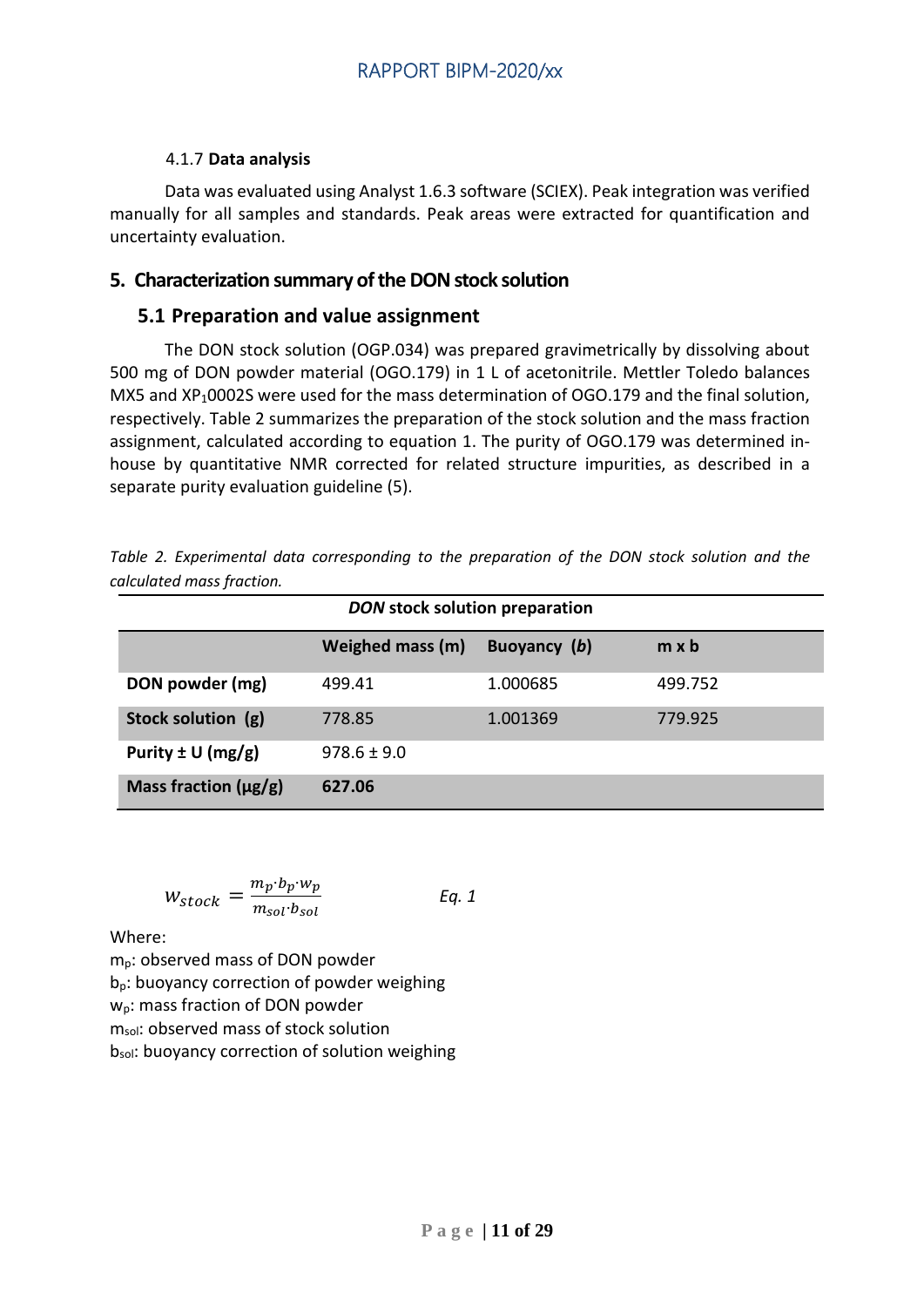#### 4.1.7 **Data analysis**

<span id="page-10-0"></span>Data was evaluated using Analyst 1.6.3 software (SCIEX). Peak integration was verified manually for all samples and standards. Peak areas were extracted for quantification and uncertainty evaluation.

## <span id="page-10-1"></span>**5. Characterization summary of the DON stock solution**

## <span id="page-10-2"></span>**5.1 Preparation and value assignment**

The DON stock solution (OGP.034) was prepared gravimetrically by dissolving about 500 mg of DON powder material (OGO.179) in 1 L of acetonitrile. Mettler Toledo balances MX5 and XP<sub>1</sub>0002S were used for the mass determination of OGO.179 and the final solution, respectively. Table 2 summarizes the preparation of the stock solution and the mass fraction assignment, calculated according to equation 1. The purity of OGO.179 was determined inhouse by quantitative NMR corrected for related structure impurities, as described in a separate purity evaluation guideline (5).

|                           | Table 2. Experimental data corresponding to the preparation of the DON stock solution and the |  |  |  |  |  |
|---------------------------|-----------------------------------------------------------------------------------------------|--|--|--|--|--|
| calculated mass fraction. |                                                                                               |  |  |  |  |  |

| DON stock solution preparation |                  |              |              |  |  |  |
|--------------------------------|------------------|--------------|--------------|--|--|--|
|                                | Weighed mass (m) | Buoyancy (b) | $m \times b$ |  |  |  |
| DON powder (mg)                | 499.41           | 1.000685     | 499.752      |  |  |  |
| Stock solution (g)             | 778.85           | 1.001369     | 779.925      |  |  |  |
| Purity $\pm$ U (mg/g)          | $978.6 \pm 9.0$  |              |              |  |  |  |
| Mass fraction $(\mu g/g)$      | 627.06           |              |              |  |  |  |

$$
W_{stock} = \frac{m_p \cdot b_p \cdot w_p}{m_{sol} \cdot b_{sol}} \qquad Eq. 1
$$

Where:

mp: observed mass of DON powder bp: buoyancy correction of powder weighing w<sub>p</sub>: mass fraction of DON powder m<sub>sol</sub>: observed mass of stock solution bsol: buoyancy correction of solution weighing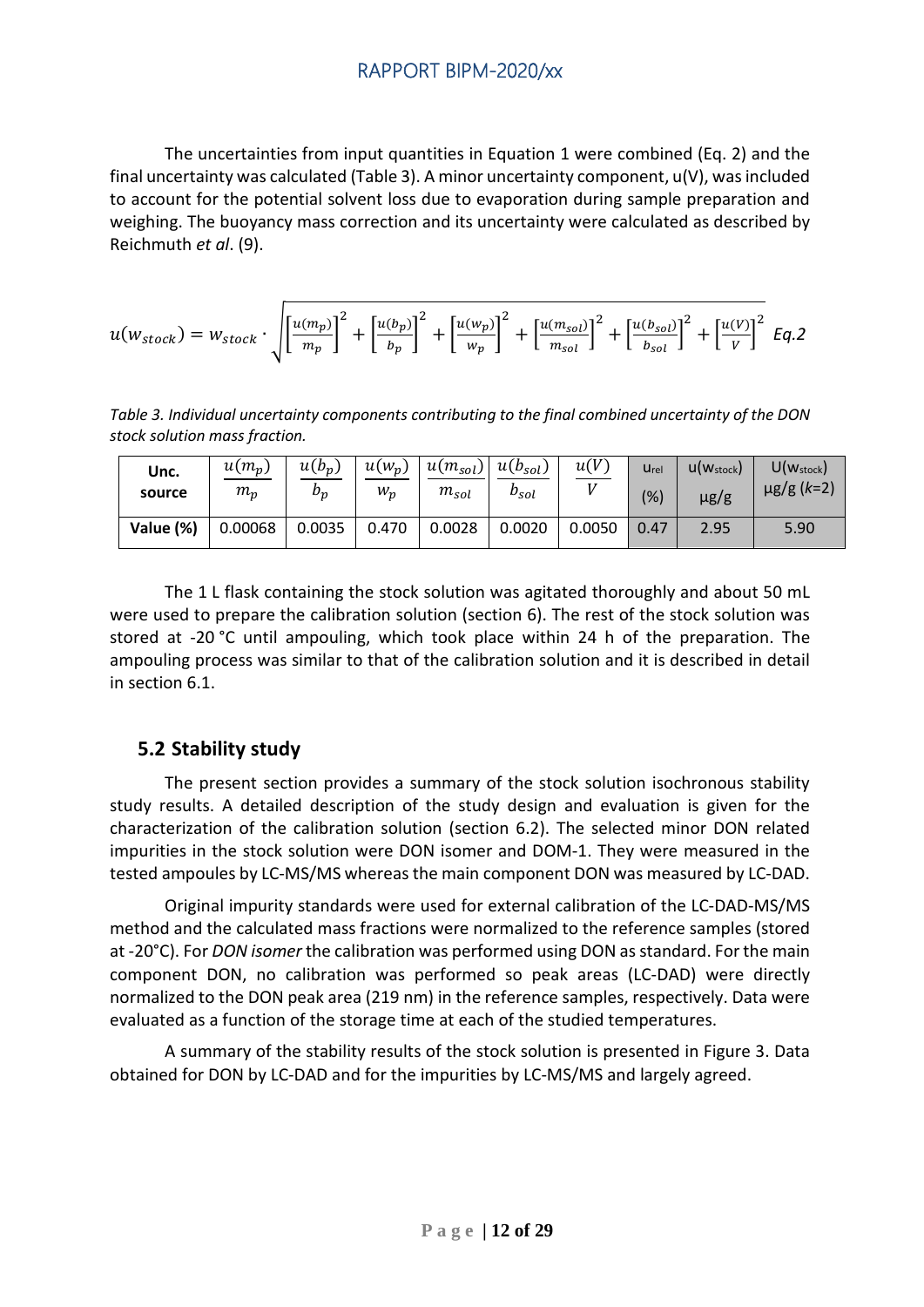The uncertainties from input quantities in Equation 1 were combined (Eq. 2) and the final uncertainty was calculated (Table 3). A minor uncertainty component, u(V), was included to account for the potential solvent loss due to evaporation during sample preparation and weighing. The buoyancy mass correction and its uncertainty were calculated as described by Reichmuth *et al*. (9).

$$
u(w_{stock}) = w_{stock} \cdot \sqrt{\left[\frac{u(m_p)}{m_p}\right]^2 + \left[\frac{u(b_p)}{b_p}\right]^2 + \left[\frac{u(w_p)}{w_p}\right]^2 + \left[\frac{u(m_{sol})}{m_{sol}}\right]^2 + \left[\frac{u(b_{sol})}{b_{sol}}\right]^2 + \left[\frac{u(V)}{V}\right]^2} \quad Eq.2
$$

*Table 3. Individual uncertainty components contributing to the final combined uncertainty of the DON stock solution mass fraction.*

| Unc.<br>source | $u(m_p)$<br>$m_p$ | $u(b_p)$<br>$b_p$ | $u(w_p)$<br>$W_p$ | $u(m_{sol})$<br>$m_{sol}$ | $u(b_{sol})$<br>$b_{sol}$ | u(V)   | Urel<br>(%) | $U(W_{stock})$<br>$\mu$ g/g | $U(w_{stock})$<br>$\mu$ g/g (k=2) |
|----------------|-------------------|-------------------|-------------------|---------------------------|---------------------------|--------|-------------|-----------------------------|-----------------------------------|
| Value (%)      | 0.00068           | 0.0035            | 0.470             | 0.0028                    | 0.0020                    | 0.0050 | 0.47        | 2.95                        | 5.90                              |

The 1 L flask containing the stock solution was agitated thoroughly and about 50 mL were used to prepare the calibration solution (section 6). The rest of the stock solution was stored at -20 °C until ampouling, which took place within 24 h of the preparation. The ampouling process was similar to that of the calibration solution and it is described in detail in section 6.1.

## <span id="page-11-0"></span>**5.2 Stability study**

The present section provides a summary of the stock solution isochronous stability study results. A detailed description of the study design and evaluation is given for the characterization of the calibration solution (section 6.2). The selected minor DON related impurities in the stock solution were DON isomer and DOM-1. They were measured in the tested ampoules by LC-MS/MS whereas the main component DON was measured by LC-DAD.

Original impurity standards were used for external calibration of the LC-DAD-MS/MS method and the calculated mass fractions were normalized to the reference samples (stored at -20°C). For *DON isomer* the calibration was performed using DON as standard. For the main component DON, no calibration was performed so peak areas (LC-DAD) were directly normalized to the DON peak area (219 nm) in the reference samples, respectively. Data were evaluated as a function of the storage time at each of the studied temperatures.

A summary of the stability results of the stock solution is presented in Figure 3. Data obtained for DON by LC-DAD and for the impurities by LC-MS/MS and largely agreed.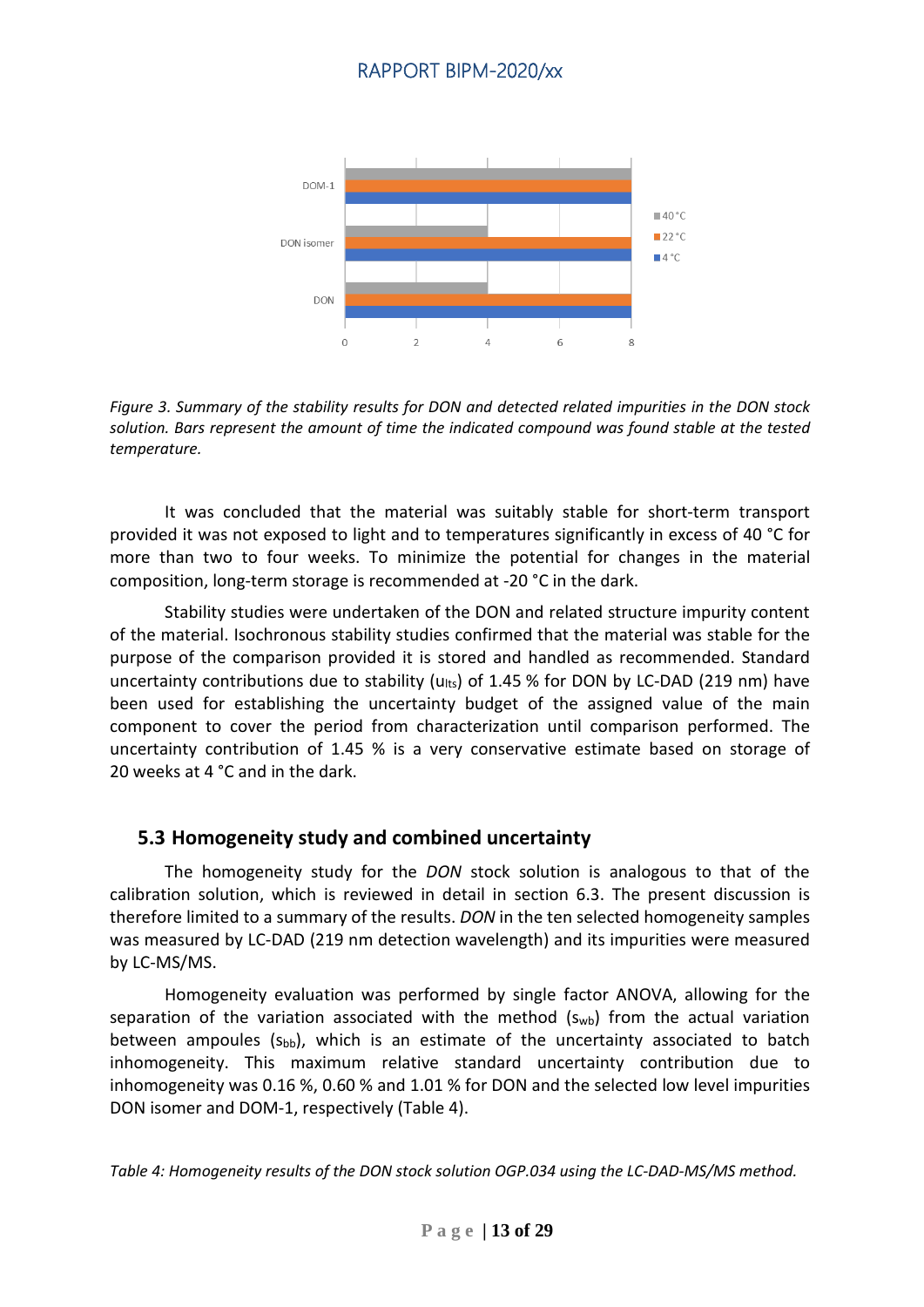

*Figure 3. Summary of the stability results for DON and detected related impurities in the DON stock solution. Bars represent the amount of time the indicated compound was found stable at the tested temperature.*

It was concluded that the material was suitably stable for short-term transport provided it was not exposed to light and to temperatures significantly in excess of 40 °C for more than two to four weeks. To minimize the potential for changes in the material composition, long-term storage is recommended at -20 °C in the dark.

Stability studies were undertaken of the DON and related structure impurity content of the material. Isochronous stability studies confirmed that the material was stable for the purpose of the comparison provided it is stored and handled as recommended. Standard uncertainty contributions due to stability ( $u_{\text{lt}}$ ) of 1.45 % for DON by LC-DAD (219 nm) have been used for establishing the uncertainty budget of the assigned value of the main component to cover the period from characterization until comparison performed. The uncertainty contribution of 1.45 % is a very conservative estimate based on storage of 20 weeks at 4 °C and in the dark.

#### <span id="page-12-0"></span>**5.3 Homogeneity study and combined uncertainty**

The homogeneity study for the *DON* stock solution is analogous to that of the calibration solution, which is reviewed in detail in section 6.3. The present discussion is therefore limited to a summary of the results. *DON* in the ten selected homogeneity samples was measured by LC-DAD (219 nm detection wavelength) and its impurities were measured by LC-MS/MS.

Homogeneity evaluation was performed by single factor ANOVA, allowing for the separation of the variation associated with the method  $(s_{wb})$  from the actual variation between ampoules  $(s_{bb})$ , which is an estimate of the uncertainty associated to batch inhomogeneity. This maximum relative standard uncertainty contribution due to inhomogeneity was 0.16 %, 0.60 % and 1.01 % for DON and the selected low level impurities DON isomer and DOM-1, respectively (Table 4).

*Table 4: Homogeneity results of the DON stock solution OGP.034 using the LC-DAD-MS/MS method.*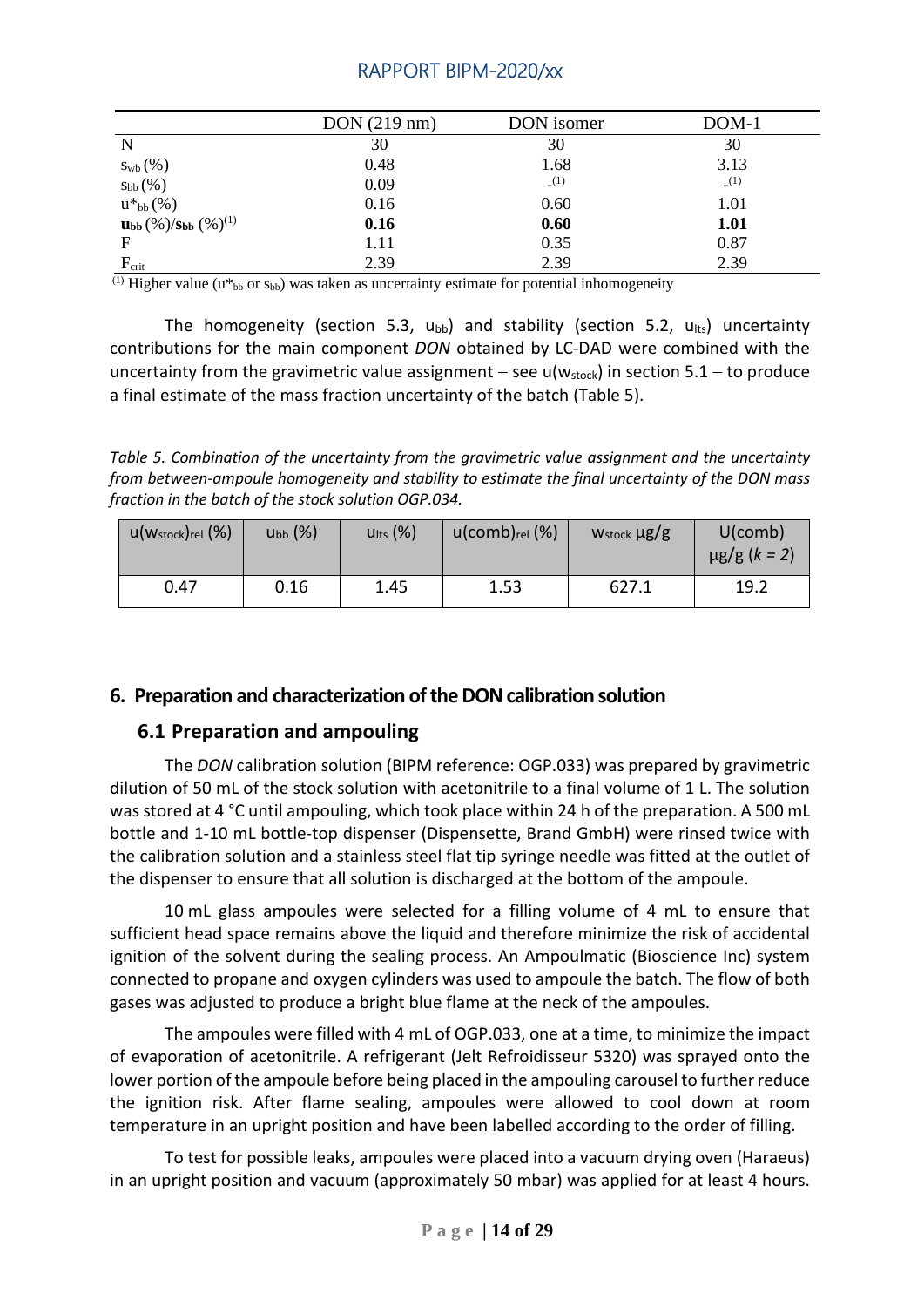|                                                                   | DOM(219 nm) | DON isomer | $DOM-1$ |
|-------------------------------------------------------------------|-------------|------------|---------|
| N                                                                 | 30          | 30         | 30      |
| $S_{\rm wb}(%)$                                                   | 0.48        | 1.68       | 3.13    |
| $S_{bb}(%)$                                                       | 0.09        | (1)        | (1)     |
| $u^*{}_{bb}(\%)$                                                  | 0.16        | 0.60       | 1.01    |
| $\mathbf{u}_{\mathbf{bb}}(\%)/\mathbf{s}_{\mathbf{bb}}(\%)^{(1)}$ | 0.16        | 0.60       | 1.01    |
| F                                                                 | 1.11        | 0.35       | 0.87    |
| $F_{\rm crit}$                                                    | 2.39        | 2.39       | 2.39    |

 $\overline{^{(1)}}$  Higher value (u<sup>\*</sup><sub>bb</sub> or s<sub>bb</sub>) was taken as uncertainty estimate for potential inhomogeneity

The homogeneity (section 5.3,  $u_{bb}$ ) and stability (section 5.2,  $u_{lts}$ ) uncertainty contributions for the main component *DON* obtained by LC-DAD were combined with the uncertainty from the gravimetric value assignment – see u( $w_{stock}$ ) in section 5.1 – to produce a final estimate of the mass fraction uncertainty of the batch (Table 5).

*Table 5. Combination of the uncertainty from the gravimetric value assignment and the uncertainty from between-ampoule homogeneity and stability to estimate the final uncertainty of the DON mass fraction in the batch of the stock solution OGP.034.*

| $u(w_{stock})_{rel}$ (%) | $U_{bb}(\%)$ | $U$ lts $(\%)$ | $u$ (comb) $_{rel}$ (%) | W <sub>stock</sub> µg/g | $U$ (comb)<br>$\mu$ g/g (k = 2) |
|--------------------------|--------------|----------------|-------------------------|-------------------------|---------------------------------|
| 0.47                     | 0.16         | 1.45           | 1.53                    | 627.1                   | 19.2                            |

## <span id="page-13-0"></span>**6. Preparation and characterization of the DONcalibration solution**

## <span id="page-13-1"></span>**6.1 Preparation and ampouling**

The *DON* calibration solution (BIPM reference: OGP.033) was prepared by gravimetric dilution of 50 mL of the stock solution with acetonitrile to a final volume of 1 L. The solution was stored at 4 °C until ampouling, which took place within 24 h of the preparation. A 500 mL bottle and 1-10 mL bottle-top dispenser (Dispensette, Brand GmbH) were rinsed twice with the calibration solution and a stainless steel flat tip syringe needle was fitted at the outlet of the dispenser to ensure that all solution is discharged at the bottom of the ampoule.

10 mL glass ampoules were selected for a filling volume of 4 mL to ensure that sufficient head space remains above the liquid and therefore minimize the risk of accidental ignition of the solvent during the sealing process. An Ampoulmatic (Bioscience Inc) system connected to propane and oxygen cylinders was used to ampoule the batch. The flow of both gases was adjusted to produce a bright blue flame at the neck of the ampoules.

The ampoules were filled with 4 mL of OGP.033, one at a time, to minimize the impact of evaporation of acetonitrile. A refrigerant (Jelt Refroidisseur 5320) was sprayed onto the lower portion of the ampoule before being placed in the ampouling carousel to further reduce the ignition risk. After flame sealing, ampoules were allowed to cool down at room temperature in an upright position and have been labelled according to the order of filling.

To test for possible leaks, ampoules were placed into a vacuum drying oven (Haraeus) in an upright position and vacuum (approximately 50 mbar) was applied for at least 4 hours.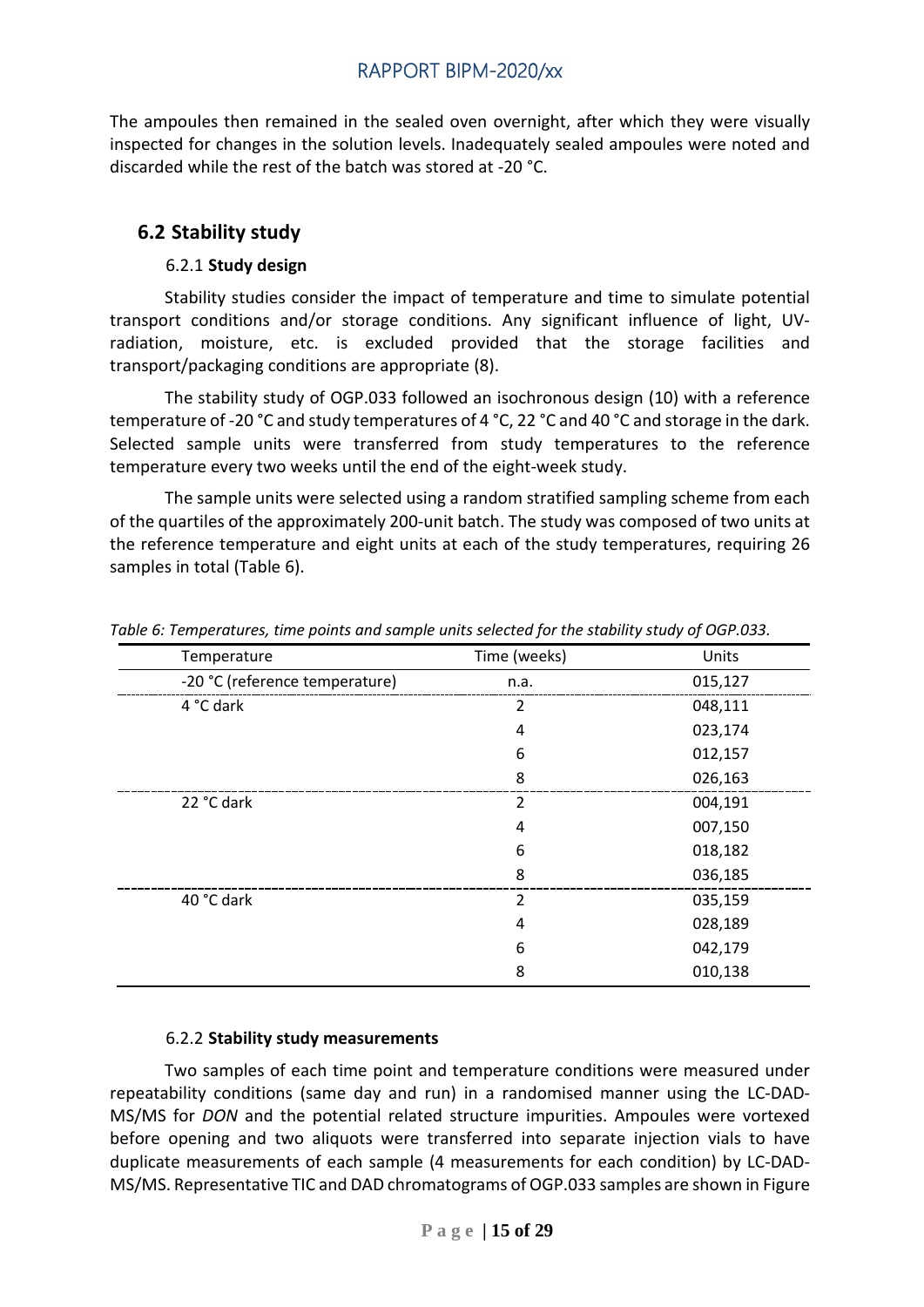The ampoules then remained in the sealed oven overnight, after which they were visually inspected for changes in the solution levels. Inadequately sealed ampoules were noted and discarded while the rest of the batch was stored at -20 °C.

## <span id="page-14-0"></span>**6.2 Stability study**

### 6.2.1 **Study design**

<span id="page-14-1"></span>Stability studies consider the impact of temperature and time to simulate potential transport conditions and/or storage conditions. Any significant influence of light, UVradiation, moisture, etc. is excluded provided that the storage facilities and transport/packaging conditions are appropriate (8).

The stability study of OGP.033 followed an isochronous design (10) with a reference temperature of -20 °C and study temperatures of 4 °C, 22 °C and 40 °C and storage in the dark. Selected sample units were transferred from study temperatures to the reference temperature every two weeks until the end of the eight-week study.

The sample units were selected using a random stratified sampling scheme from each of the quartiles of the approximately 200-unit batch. The study was composed of two units at the reference temperature and eight units at each of the study temperatures, requiring 26 samples in total (Table 6).

| Temperature                    | Time (weeks)   | Units   |
|--------------------------------|----------------|---------|
| -20 °C (reference temperature) | n.a.           | 015,127 |
| 4 °C dark                      | 2              | 048,111 |
|                                | 4              | 023,174 |
|                                | 6              | 012,157 |
|                                | 8              | 026,163 |
| 22 °C dark                     | $\overline{2}$ | 004,191 |
|                                | 4              | 007,150 |
|                                | 6              | 018,182 |
|                                | 8              | 036,185 |
| 40 °C dark                     | $\overline{2}$ | 035,159 |
|                                | 4              | 028,189 |
|                                | 6              | 042,179 |
|                                | 8              | 010,138 |

*Table 6: Temperatures, time points and sample units selected for the stability study of OGP.033.*

#### 6.2.2 **Stability study measurements**

<span id="page-14-2"></span>Two samples of each time point and temperature conditions were measured under repeatability conditions (same day and run) in a randomised manner using the LC-DAD-MS/MS for *DON* and the potential related structure impurities. Ampoules were vortexed before opening and two aliquots were transferred into separate injection vials to have duplicate measurements of each sample (4 measurements for each condition) by LC-DAD-MS/MS. Representative TIC and DAD chromatograms of OGP.033 samples are shown in Figure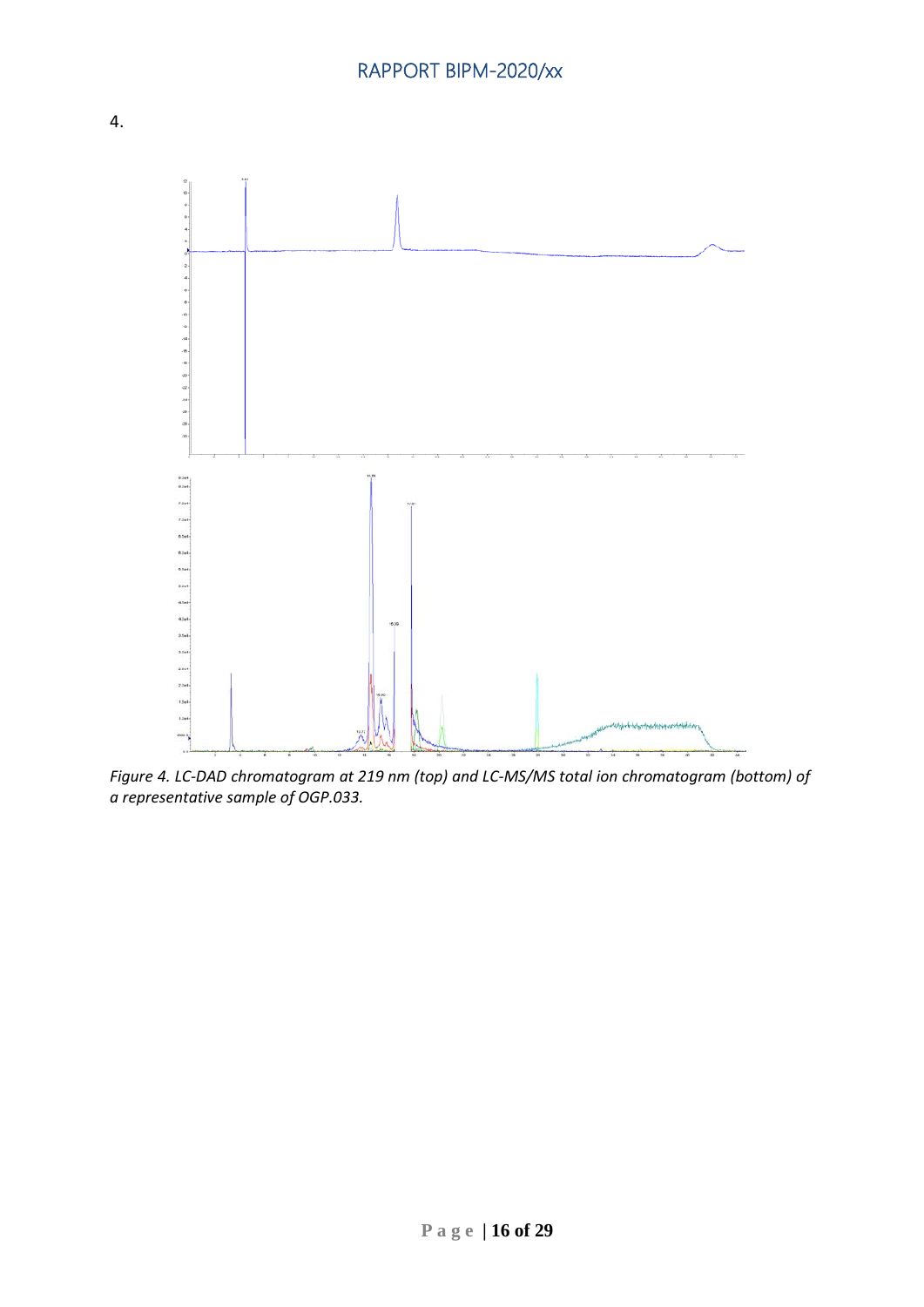

*Figure 4. LC-DAD chromatogram at 219 nm (top) and LC-MS/MS total ion chromatogram (bottom) of a representative sample of OGP.033.*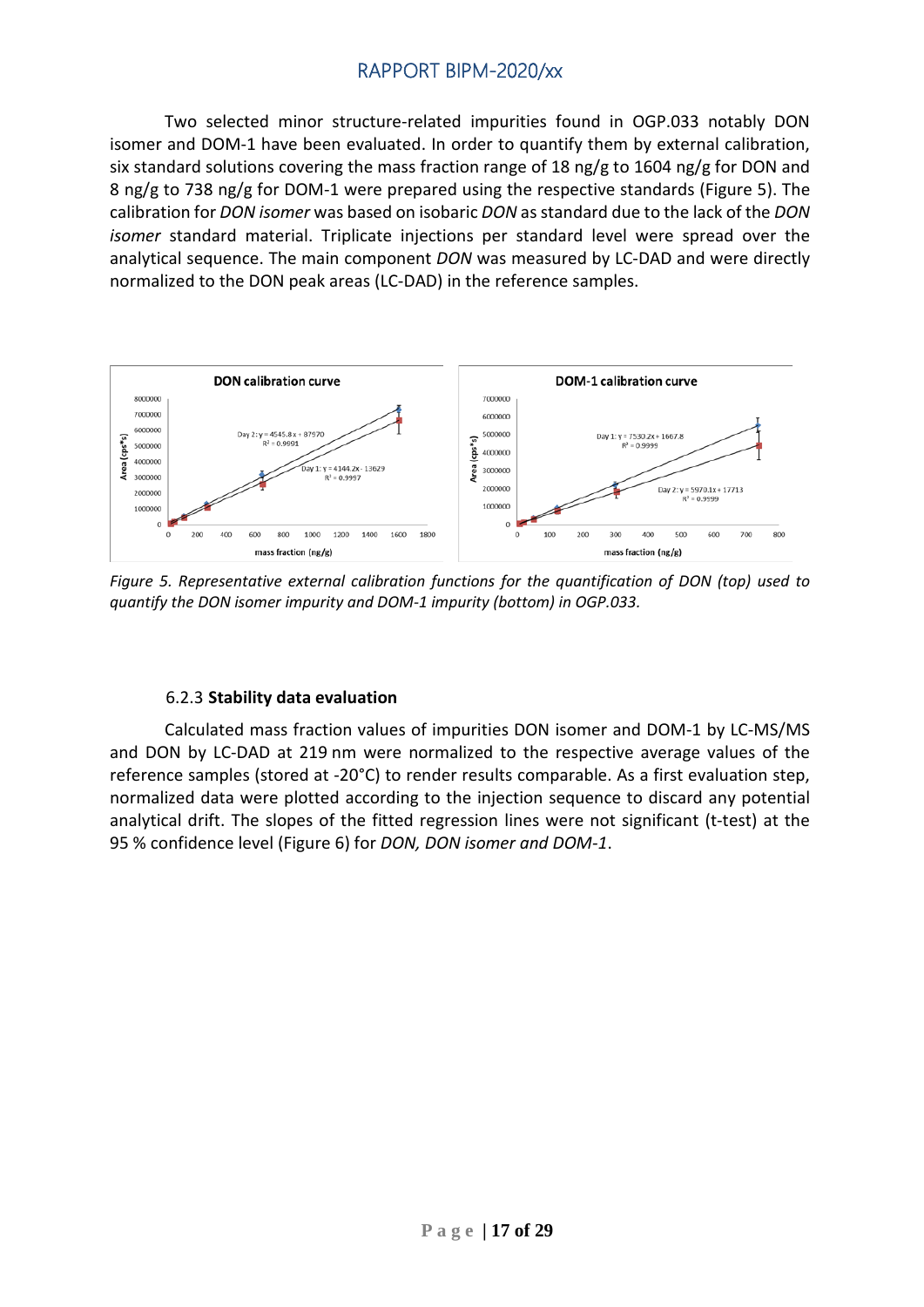Two selected minor structure-related impurities found in OGP.033 notably DON isomer and DOM-1 have been evaluated. In order to quantify them by external calibration, six standard solutions covering the mass fraction range of 18 ng/g to 1604 ng/g for DON and 8 ng/g to 738 ng/g for DOM-1 were prepared using the respective standards (Figure 5). The calibration for *DON isomer* was based on isobaric *DON* as standard due to the lack of the *DON isomer* standard material. Triplicate injections per standard level were spread over the analytical sequence. The main component *DON* was measured by LC-DAD and were directly normalized to the DON peak areas (LC-DAD) in the reference samples.



*Figure 5. Representative external calibration functions for the quantification of DON (top) used to quantify the DON isomer impurity and DOM-1 impurity (bottom) in OGP.033.*

#### 6.2.3 **Stability data evaluation**

<span id="page-16-0"></span>Calculated mass fraction values of impurities DON isomer and DOM-1 by LC-MS/MS and DON by LC-DAD at 219 nm were normalized to the respective average values of the reference samples (stored at -20°C) to render results comparable. As a first evaluation step, normalized data were plotted according to the injection sequence to discard any potential analytical drift. The slopes of the fitted regression lines were not significant (t-test) at the 95 % confidence level (Figure 6) for *DON, DON isomer and DOM-1*.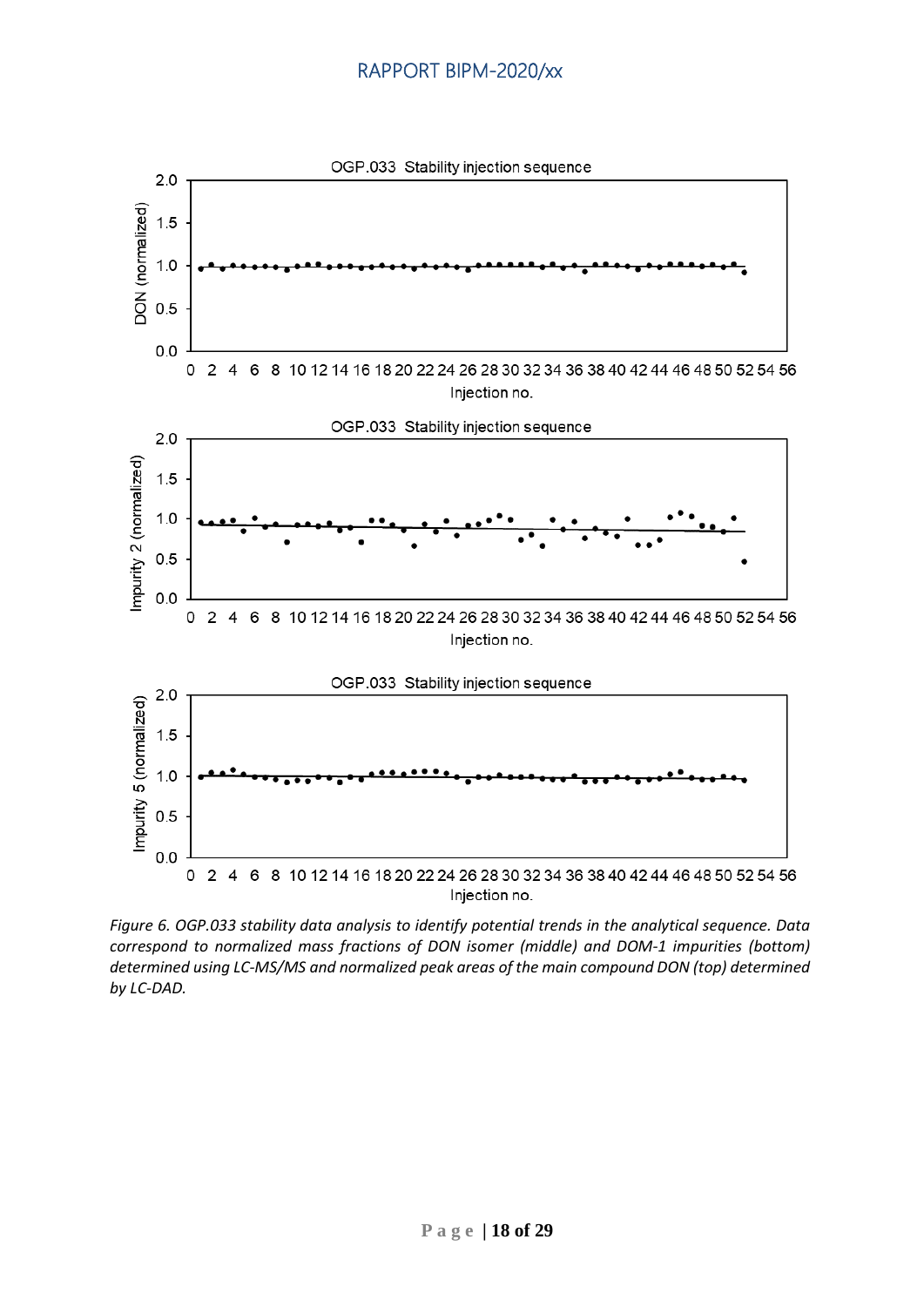

*Figure 6. OGP.033 stability data analysis to identify potential trends in the analytical sequence. Data correspond to normalized mass fractions of DON isomer (middle) and DOM-1 impurities (bottom) determined using LC-MS/MS and normalized peak areas of the main compound DON (top) determined by LC-DAD.*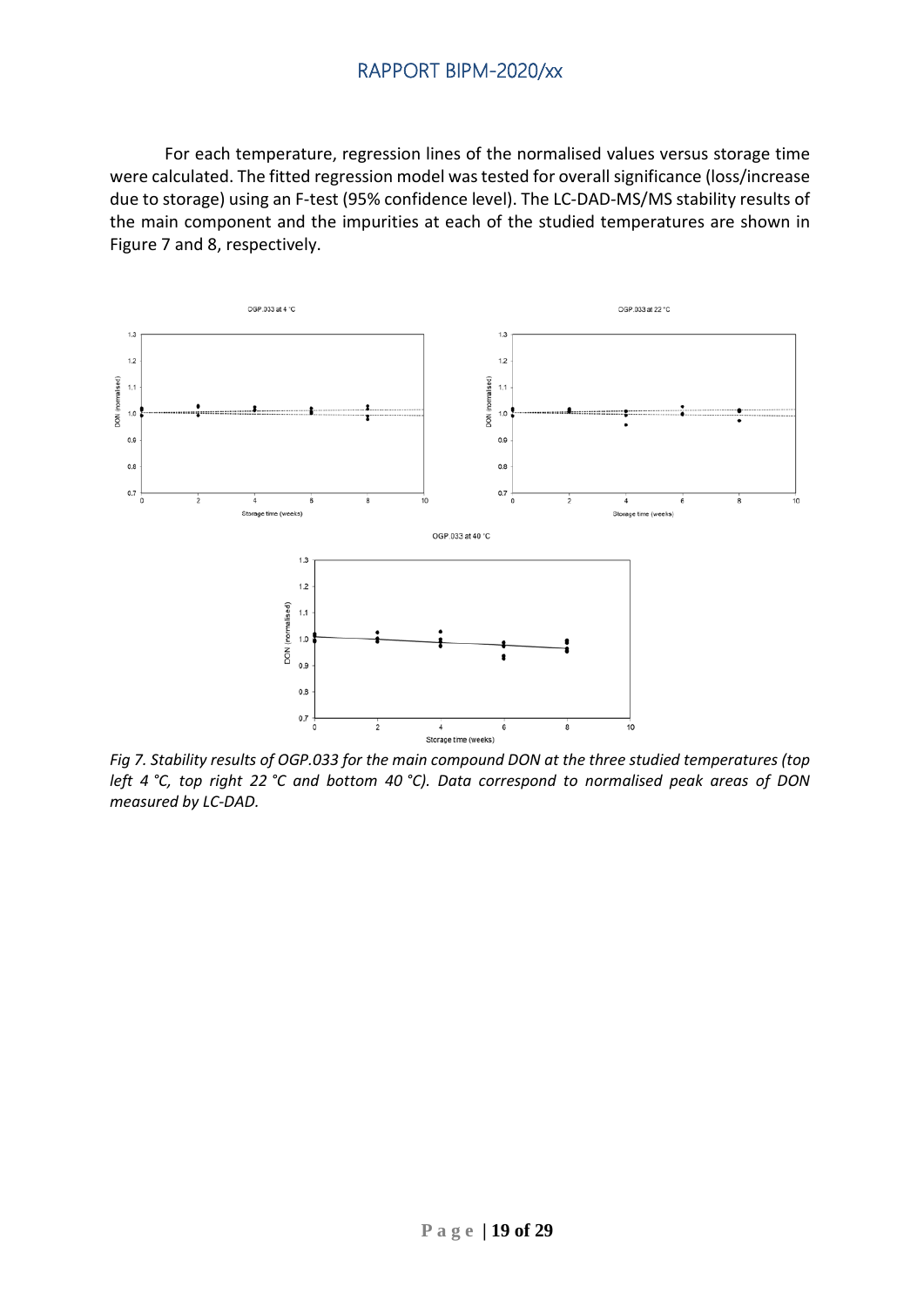For each temperature, regression lines of the normalised values versus storage time were calculated. The fitted regression model was tested for overall significance (loss/increase due to storage) using an F-test (95% confidence level). The LC-DAD-MS/MS stability results of the main component and the impurities at each of the studied temperatures are shown in Figure 7 and 8, respectively.



*Fig 7. Stability results of OGP.033 for the main compound DON at the three studied temperatures (top left 4 °C, top right 22 °C and bottom 40 °C). Data correspond to normalised peak areas of DON measured by LC-DAD.*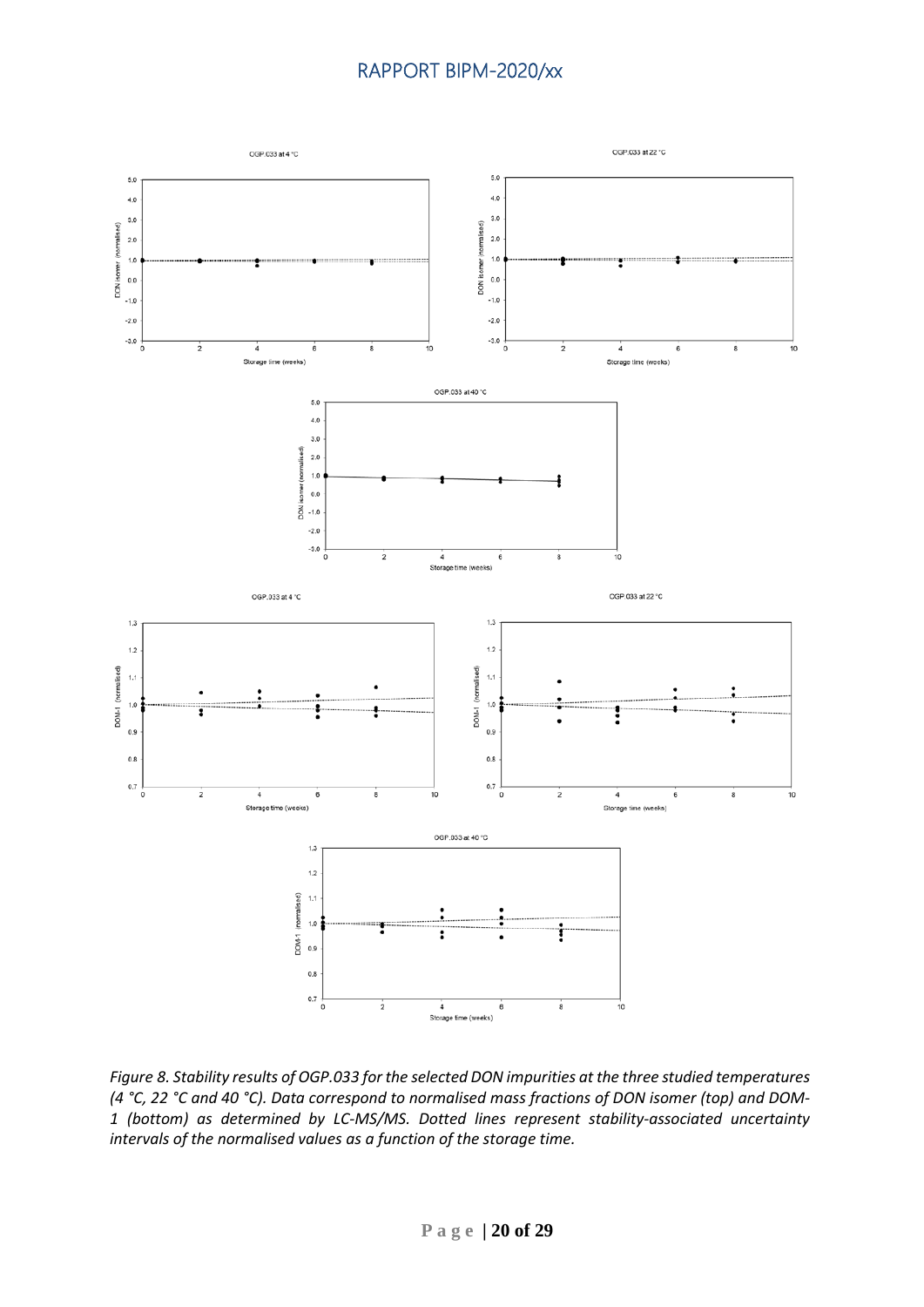

*Figure 8. Stability results of OGP.033 for the selected DON impurities at the three studied temperatures (4 °C, 22 °C and 40 °C). Data correspond to normalised mass fractions of DON isomer (top) and DOM-1 (bottom) as determined by LC-MS/MS. Dotted lines represent stability-associated uncertainty intervals of the normalised values as a function of the storage time.*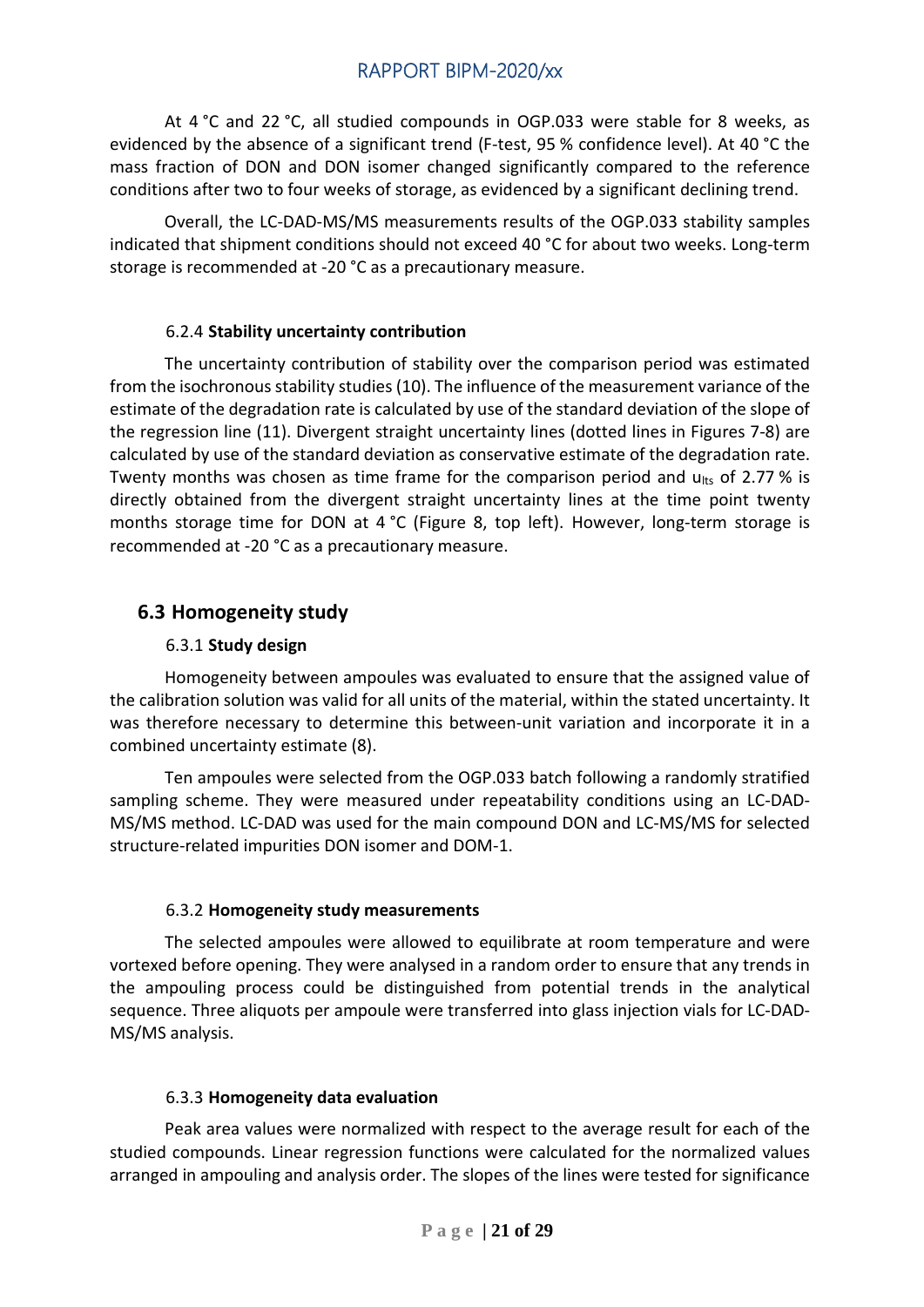At 4 °C and 22 °C, all studied compounds in OGP.033 were stable for 8 weeks, as evidenced by the absence of a significant trend (F-test, 95 % confidence level). At 40 °C the mass fraction of DON and DON isomer changed significantly compared to the reference conditions after two to four weeks of storage, as evidenced by a significant declining trend.

Overall, the LC-DAD-MS/MS measurements results of the OGP.033 stability samples indicated that shipment conditions should not exceed 40 °C for about two weeks. Long-term storage is recommended at -20 °C as a precautionary measure.

#### 6.2.4 **Stability uncertainty contribution**

<span id="page-20-0"></span>The uncertainty contribution of stability over the comparison period was estimated from the isochronous stability studies (10). The influence of the measurement variance of the estimate of the degradation rate is calculated by use of the standard deviation of the slope of the regression line (11). Divergent straight uncertainty lines (dotted lines in Figures 7-8) are calculated by use of the standard deviation as conservative estimate of the degradation rate. Twenty months was chosen as time frame for the comparison period and  $u_{\text{lts}}$  of 2.77 % is directly obtained from the divergent straight uncertainty lines at the time point twenty months storage time for DON at 4 °C (Figure 8, top left). However, long-term storage is recommended at -20 °C as a precautionary measure.

## <span id="page-20-1"></span>**6.3 Homogeneity study**

#### 6.3.1 **Study design**

<span id="page-20-2"></span>Homogeneity between ampoules was evaluated to ensure that the assigned value of the calibration solution was valid for all units of the material, within the stated uncertainty. It was therefore necessary to determine this between-unit variation and incorporate it in a combined uncertainty estimate (8).

Ten ampoules were selected from the OGP.033 batch following a randomly stratified sampling scheme. They were measured under repeatability conditions using an LC-DAD-MS/MS method. LC-DAD was used for the main compound DON and LC-MS/MS for selected structure-related impurities DON isomer and DOM-1.

#### 6.3.2 **Homogeneity study measurements**

<span id="page-20-3"></span>The selected ampoules were allowed to equilibrate at room temperature and were vortexed before opening. They were analysed in a random order to ensure that any trends in the ampouling process could be distinguished from potential trends in the analytical sequence. Three aliquots per ampoule were transferred into glass injection vials for LC-DAD-MS/MS analysis.

#### 6.3.3 **Homogeneity data evaluation**

<span id="page-20-4"></span>Peak area values were normalized with respect to the average result for each of the studied compounds. Linear regression functions were calculated for the normalized values arranged in ampouling and analysis order. The slopes of the lines were tested for significance

**Page | 21 of 29**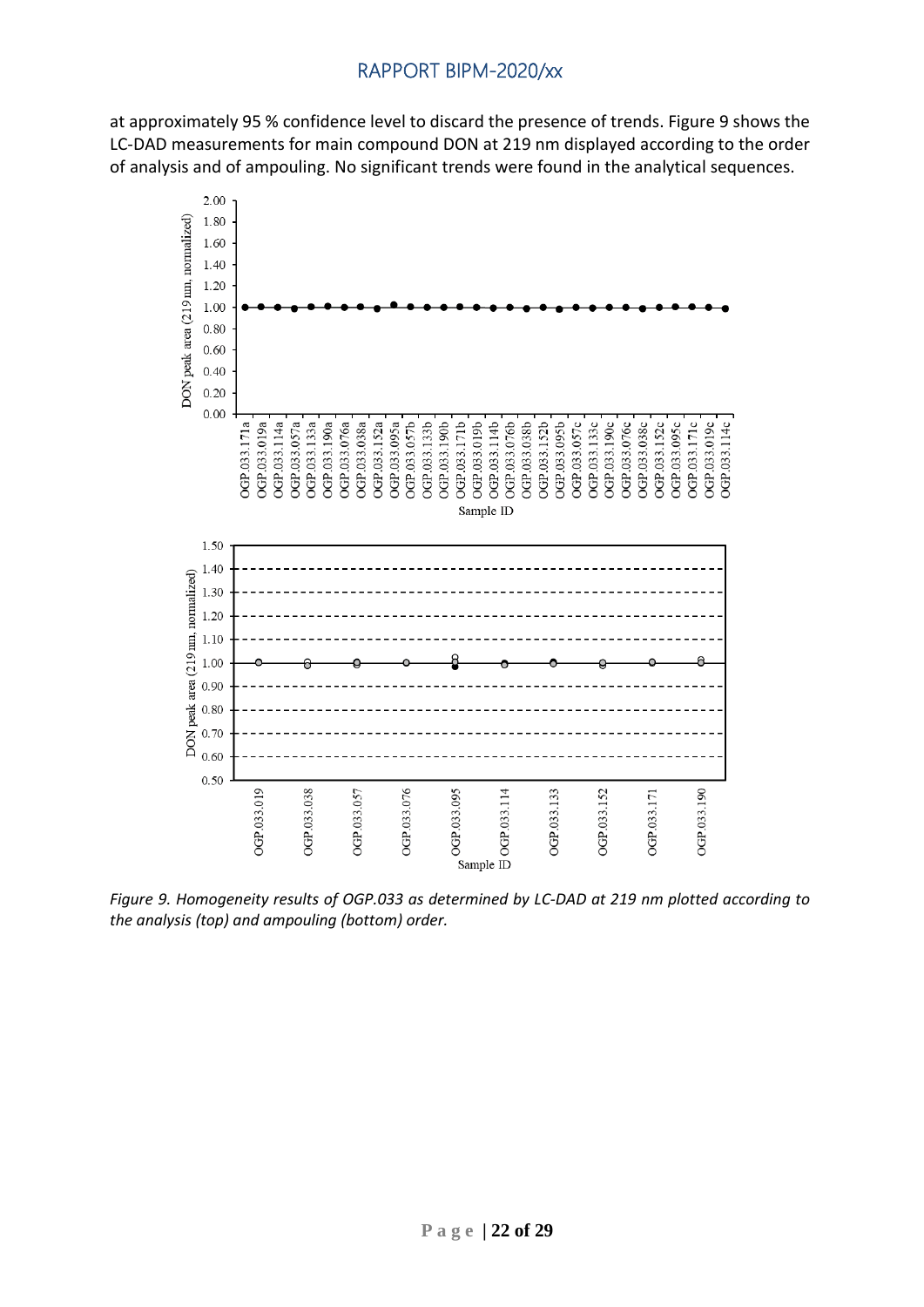at approximately 95 % confidence level to discard the presence of trends. Figure 9 shows the LC-DAD measurements for main compound DON at 219 nm displayed according to the order of analysis and of ampouling. No significant trends were found in the analytical sequences.



*Figure 9. Homogeneity results of OGP.033 as determined by LC-DAD at 219 nm plotted according to the analysis (top) and ampouling (bottom) order.*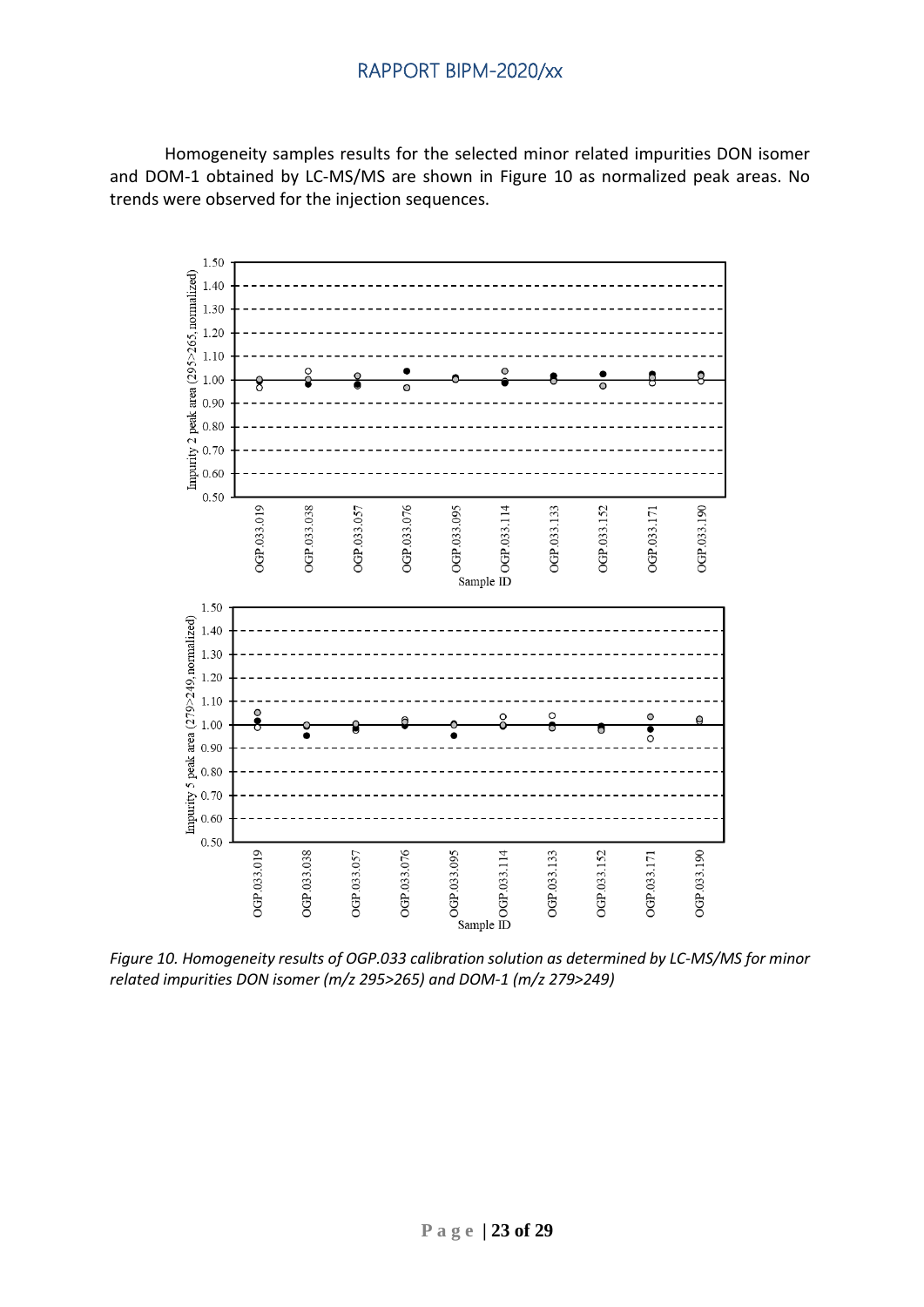Homogeneity samples results for the selected minor related impurities DON isomer and DOM-1 obtained by LC-MS/MS are shown in Figure 10 as normalized peak areas. No trends were observed for the injection sequences.



*Figure 10. Homogeneity results of OGP.033 calibration solution as determined by LC-MS/MS for minor related impurities DON isomer (m/z 295>265) and DOM-1 (m/z 279>249)*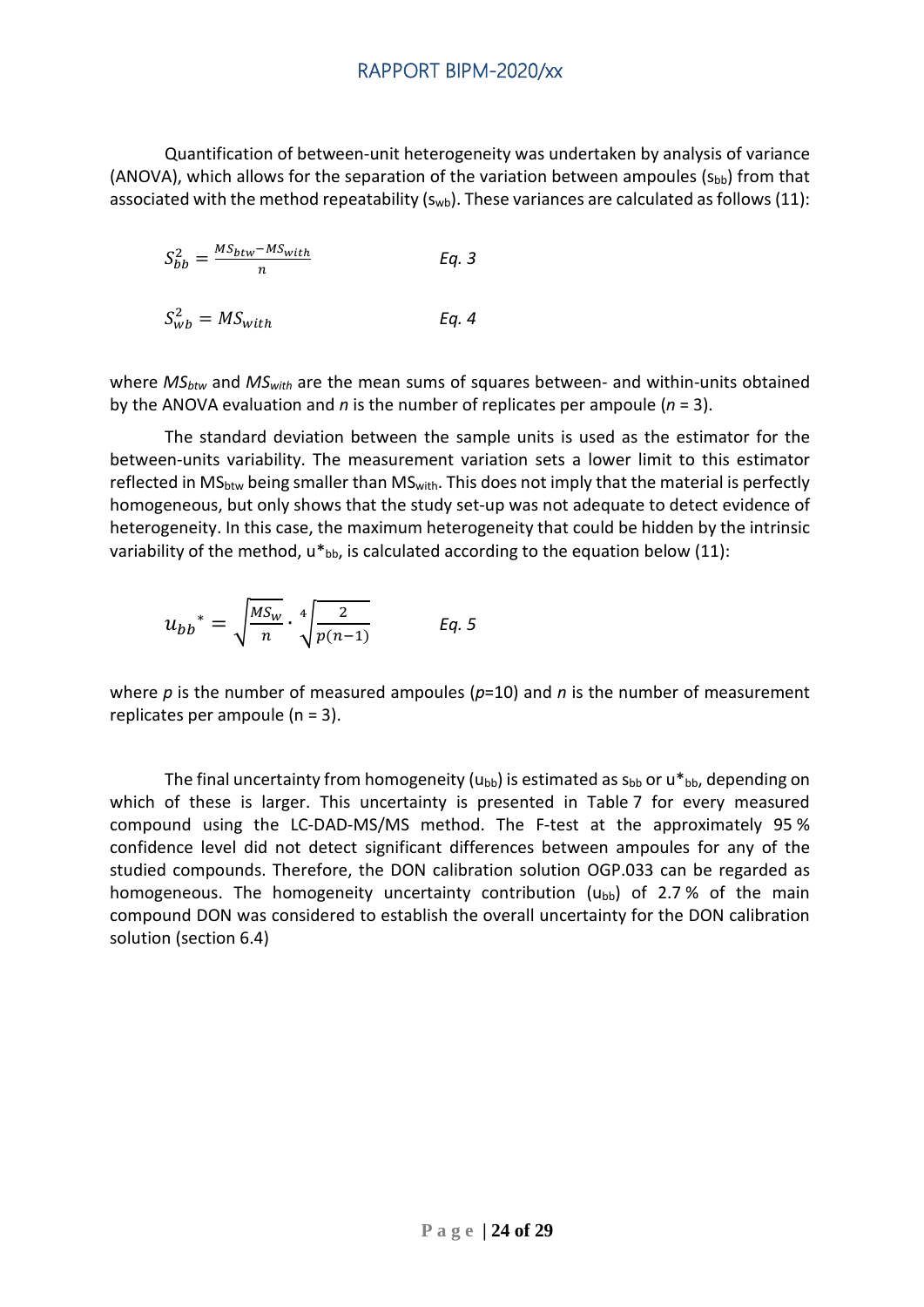Quantification of between-unit heterogeneity was undertaken by analysis of variance (ANOVA), which allows for the separation of the variation between ampoules ( $S_{bb}$ ) from that associated with the method repeatability  $(s_{wb})$ . These variances are calculated as follows (11):

$$
S_{bb}^2 = \frac{MS_{btw} - MS_{with}}{n}
$$
 Eq. 3

$$
S_{wb}^2 = MS_{with} \tEq. 4
$$

where *MSbtw* and *MSwith* are the mean sums of squares between- and within-units obtained by the ANOVA evaluation and *n* is the number of replicates per ampoule (*n* = 3).

The standard deviation between the sample units is used as the estimator for the between-units variability. The measurement variation sets a lower limit to this estimator reflected in MS<sub>btw</sub> being smaller than MS<sub>with</sub>. This does not imply that the material is perfectly homogeneous, but only shows that the study set-up was not adequate to detect evidence of heterogeneity. In this case, the maximum heterogeneity that could be hidden by the intrinsic variability of the method,  $u *_{bb}$ , is calculated according to the equation below (11):

$$
u_{bb}^* = \sqrt{\frac{MS_w}{n}} \cdot \sqrt[4]{\frac{2}{p(n-1)}} \qquad \text{Eq. 5}
$$

where *p* is the number of measured ampoules (*p*=10) and *n* is the number of measurement replicates per ampoule (n = 3).

The final uncertainty from homogeneity ( $u_{bb}$ ) is estimated as  $s_{bb}$  or  $u *_{bb}$ , depending on which of these is larger. This uncertainty is presented in Table 7 for every measured compound using the LC-DAD-MS/MS method. The F-test at the approximately 95 % confidence level did not detect significant differences between ampoules for any of the studied compounds. Therefore, the DON calibration solution OGP.033 can be regarded as homogeneous. The homogeneity uncertainty contribution  $(u_{bb})$  of 2.7% of the main compound DON was considered to establish the overall uncertainty for the DON calibration solution (section 6.4)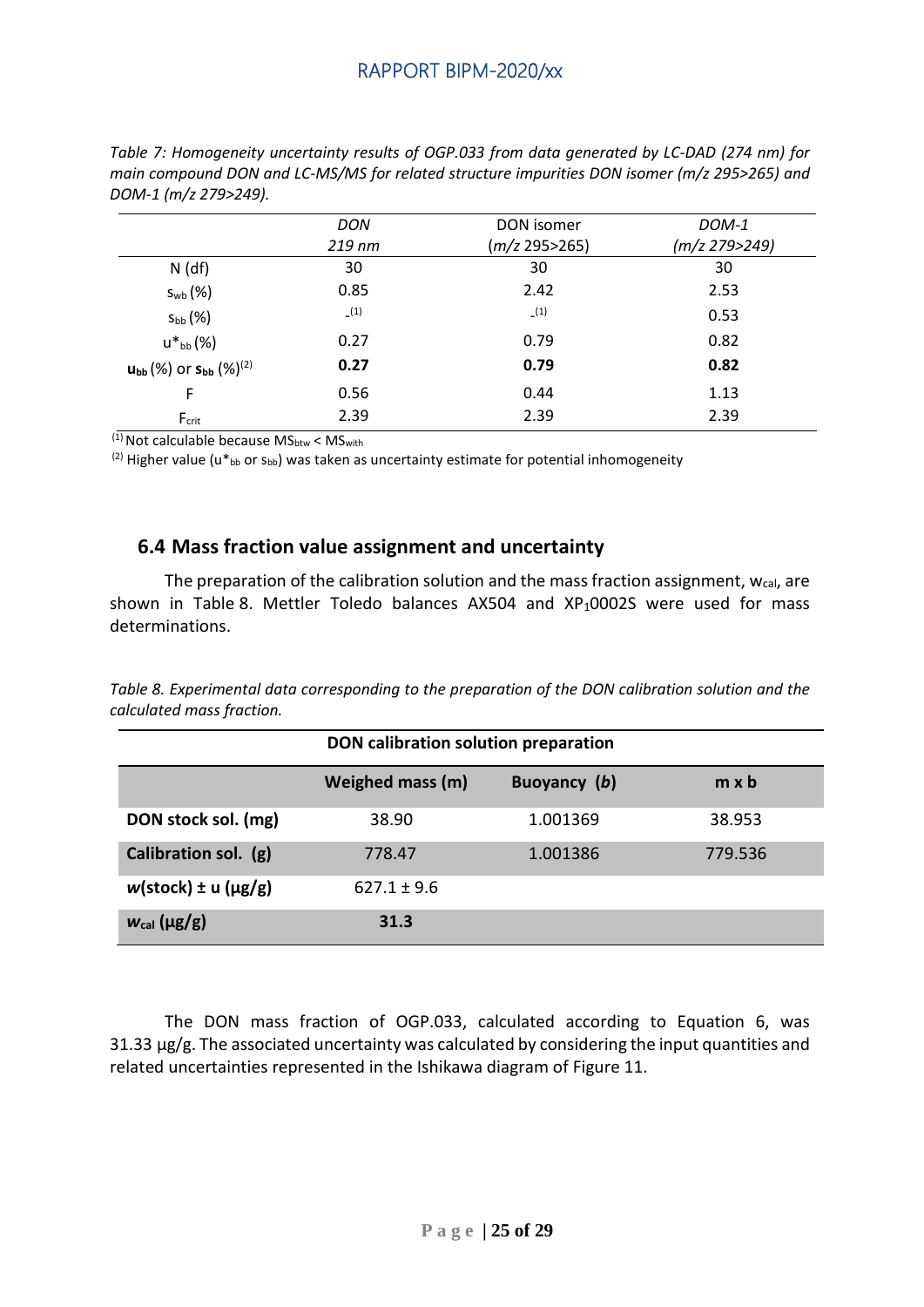|                                                                        | DON      | DON isomer      | DOM-1         |
|------------------------------------------------------------------------|----------|-----------------|---------------|
|                                                                        | $219$ nm | (m/z 295 > 265) | (m/z 279>249) |
| $N$ (df)                                                               | 30       | 30              | 30            |
| $S_{\rm wb}(\%)$                                                       | 0.85     | 2.42            | 2.53          |
| $S_{bb}(%)$                                                            | (1)      | (1)             | 0.53          |
| $u^*{}_{bb}$ (%)                                                       | 0.27     | 0.79            | 0.82          |
| $\mathsf{u}_{\mathsf{bb}}(\%)$ or $\mathsf{s}_{\mathsf{bb}}(\%)^{(2)}$ | 0.27     | 0.79            | 0.82          |
| F                                                                      | 0.56     | 0.44            | 1.13          |
| $F_{\text{crit}}$                                                      | 2.39     | 2.39            | 2.39          |

*Table 7: Homogeneity uncertainty results of OGP.033 from data generated by LC-DAD (274 nm) for main compound DON and LC-MS/MS for related structure impurities DON isomer (m/z 295>265) and* 

 $(1)$  Not calculable because MS<sub>btw</sub> < MS<sub>with</sub>

 $(2)$  Higher value (u\*bb or Sbb) was taken as uncertainty estimate for potential inhomogeneity

#### <span id="page-24-0"></span>**6.4 Mass fraction value assignment and uncertainty**

The preparation of the calibration solution and the mass fraction assignment,  $w_{cal}$ , are shown in Table 8. Mettler Toledo balances  $AX504$  and  $XP<sub>1</sub>0002S$  were used for mass determinations.

*Table 8. Experimental data corresponding to the preparation of the DON calibration solution and the calculated mass fraction.*

|                                  | DON calibration solution preparation |              |              |  |  |  |
|----------------------------------|--------------------------------------|--------------|--------------|--|--|--|
|                                  | Weighed mass (m)                     | Buoyancy (b) | $m \times b$ |  |  |  |
| DON stock sol. (mg)              | 38.90                                | 1.001369     | 38.953       |  |  |  |
| Calibration sol. (g)             | 778.47                               | 1.001386     | 779.536      |  |  |  |
| $w(\text{stock}) \pm u(\mu g/g)$ | $627.1 \pm 9.6$                      |              |              |  |  |  |
| $w_{\text{cal}}(\mu g/g)$        | 31.3                                 |              |              |  |  |  |

The DON mass fraction of OGP.033, calculated according to Equation 6, was 31.33 µg/g. The associated uncertainty was calculated by considering the input quantities and related uncertainties represented in the Ishikawa diagram of Figure 11.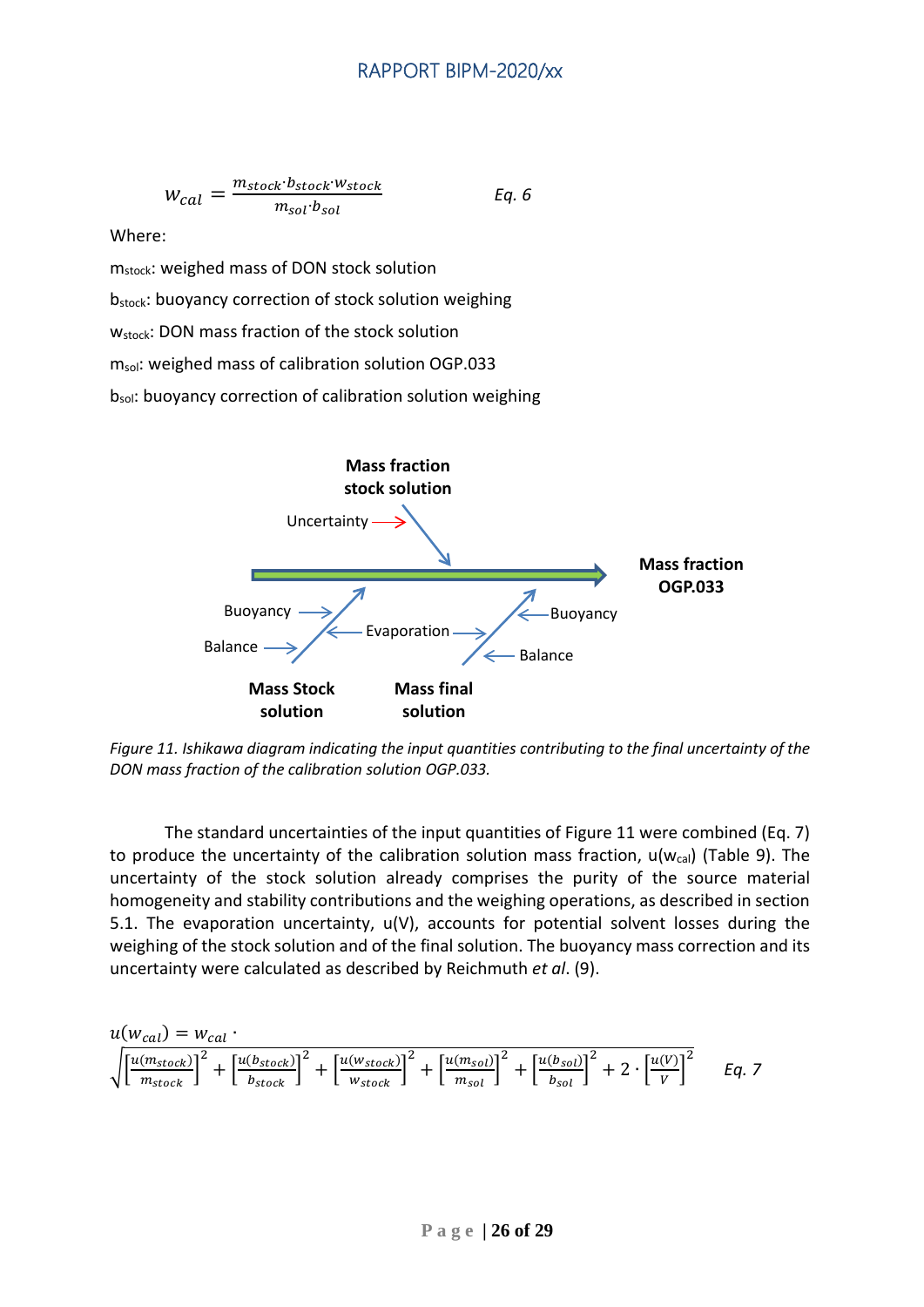$$
W_{cal} = \frac{m_{stock} \cdot b_{stock} \cdot w_{stock}}{m_{sol} \cdot b_{sol}}
$$
 Eq. 6

Where:

mstock: weighed mass of DON stock solution

bstock: buoyancy correction of stock solution weighing

W<sub>stock</sub>: DON mass fraction of the stock solution

m<sub>sol</sub>: weighed mass of calibration solution OGP.033

bsol: buoyancy correction of calibration solution weighing



*Figure 11. Ishikawa diagram indicating the input quantities contributing to the final uncertainty of the DON mass fraction of the calibration solution OGP.033.*

The standard uncertainties of the input quantities of Figure 11 were combined (Eq. 7) to produce the uncertainty of the calibration solution mass fraction,  $u(w_{cal})$  (Table 9). The uncertainty of the stock solution already comprises the purity of the source material homogeneity and stability contributions and the weighing operations, as described in section 5.1. The evaporation uncertainty, u(V), accounts for potential solvent losses during the weighing of the stock solution and of the final solution. The buoyancy mass correction and its uncertainty were calculated as described by Reichmuth *et al*. (9).

$$
u(w_{cal}) = w_{cal} \cdot
$$
  

$$
\sqrt{\left[\frac{u(m_{stock})}{m_{stock}}\right]^2 + \left[\frac{u(b_{stock})}{b_{stock}}\right]^2 + \left[\frac{u(w_{stock})}{w_{stock}}\right]^2 + \left[\frac{u(m_{sol})}{m_{sol}}\right]^2 + \left[\frac{u(b_{sol})}{b_{sol}}\right]^2 + 2 \cdot \left[\frac{u(V)}{V}\right]^2}
$$
 Eq. 7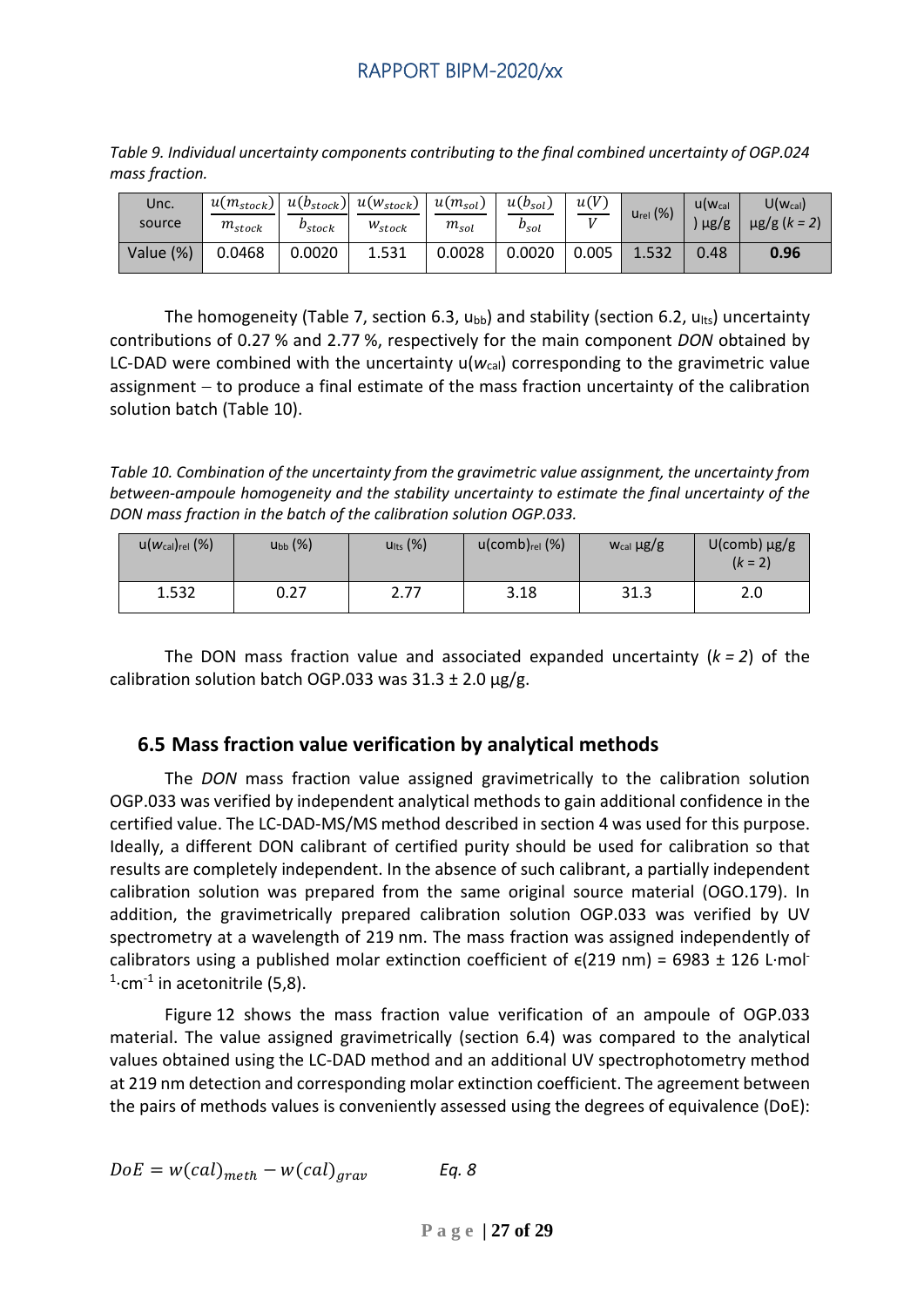| Unc.<br>source | $u(m_{stock})$<br>$m_{stock}$ | $u(b_{stock})$<br>$\nu_{stock}$ | $u(w_{stock})$<br>$W_{stock}$ | $u(m_{sol})$<br>$m_{sol}$ | $u(b_{sol})$<br>$b_{sol}$ | u(V)<br>$\mathbf{v}$ | $U_{rel}$ $(\%)$ | $U(W_{cal}$<br>$\mu$ g/g | $U(w_{cal})$<br>$\mu$ g/g (k = 2, |
|----------------|-------------------------------|---------------------------------|-------------------------------|---------------------------|---------------------------|----------------------|------------------|--------------------------|-----------------------------------|
| Value (%)      | 0.0468                        | 0.0020                          | 1.531                         | 0.0028                    | 0.0020                    | 0.005                | 1.532            | 0.48                     | 0.96                              |

*Table 9. Individual uncertainty components contributing to the final combined uncertainty of OGP.024 mass fraction.*

The homogeneity (Table 7, section 6.3,  $u_{bb}$ ) and stability (section 6.2,  $u_{hts}$ ) uncertainty contributions of 0.27 % and 2.77 %, respectively for the main component *DON* obtained by LC-DAD were combined with the uncertainty  $u(w_{cal})$  corresponding to the gravimetric value assignment − to produce a final estimate of the mass fraction uncertainty of the calibration solution batch (Table 10).

*Table 10. Combination of the uncertainty from the gravimetric value assignment, the uncertainty from between-ampoule homogeneity and the stability uncertainty to estimate the final uncertainty of the DON mass fraction in the batch of the calibration solution OGP.033.*

| $u(w_{cal})_{rel}$ (%) | $U_{bb}$ $(\%)$ | $U$ lts $(%)$ | $u$ (comb) $_{rel}$ (%) | $W_{cal}$ $\mu$ g/g | $U$ (comb) $\mu$ g/g<br>$(k = 2)$ |
|------------------------|-----------------|---------------|-------------------------|---------------------|-----------------------------------|
| 1.532                  | 0.27            | 2.77          | 3.18                    | 31.3                | 2.0                               |

The DON mass fraction value and associated expanded uncertainty (*k = 2*) of the calibration solution batch OGP.033 was  $31.3 \pm 2.0$  µg/g.

## <span id="page-26-0"></span>**6.5 Mass fraction value verification by analytical methods**

The *DON* mass fraction value assigned gravimetrically to the calibration solution OGP.033 was verified by independent analytical methods to gain additional confidence in the certified value. The LC-DAD-MS/MS method described in section 4 was used for this purpose. Ideally, a different DON calibrant of certified purity should be used for calibration so that results are completely independent. In the absence of such calibrant, a partially independent calibration solution was prepared from the same original source material (OGO.179). In addition, the gravimetrically prepared calibration solution OGP.033 was verified by UV spectrometry at a wavelength of 219 nm. The mass fraction was assigned independently of calibrators using a published molar extinction coefficient of  $\varepsilon$ (219 nm) = 6983 ± 126 L·mol<sup>-</sup>  $1$ ·cm<sup>-1</sup> in acetonitrile (5,8).

Figure 12 shows the mass fraction value verification of an ampoule of OGP.033 material. The value assigned gravimetrically (section 6.4) was compared to the analytical values obtained using the LC-DAD method and an additional UV spectrophotometry method at 219 nm detection and corresponding molar extinction coefficient. The agreement between the pairs of methods values is conveniently assessed using the degrees of equivalence (DoE):

$$
DoE = w(cal)_{meth} - w(cal)_{grav} \qquad Eq. 8
$$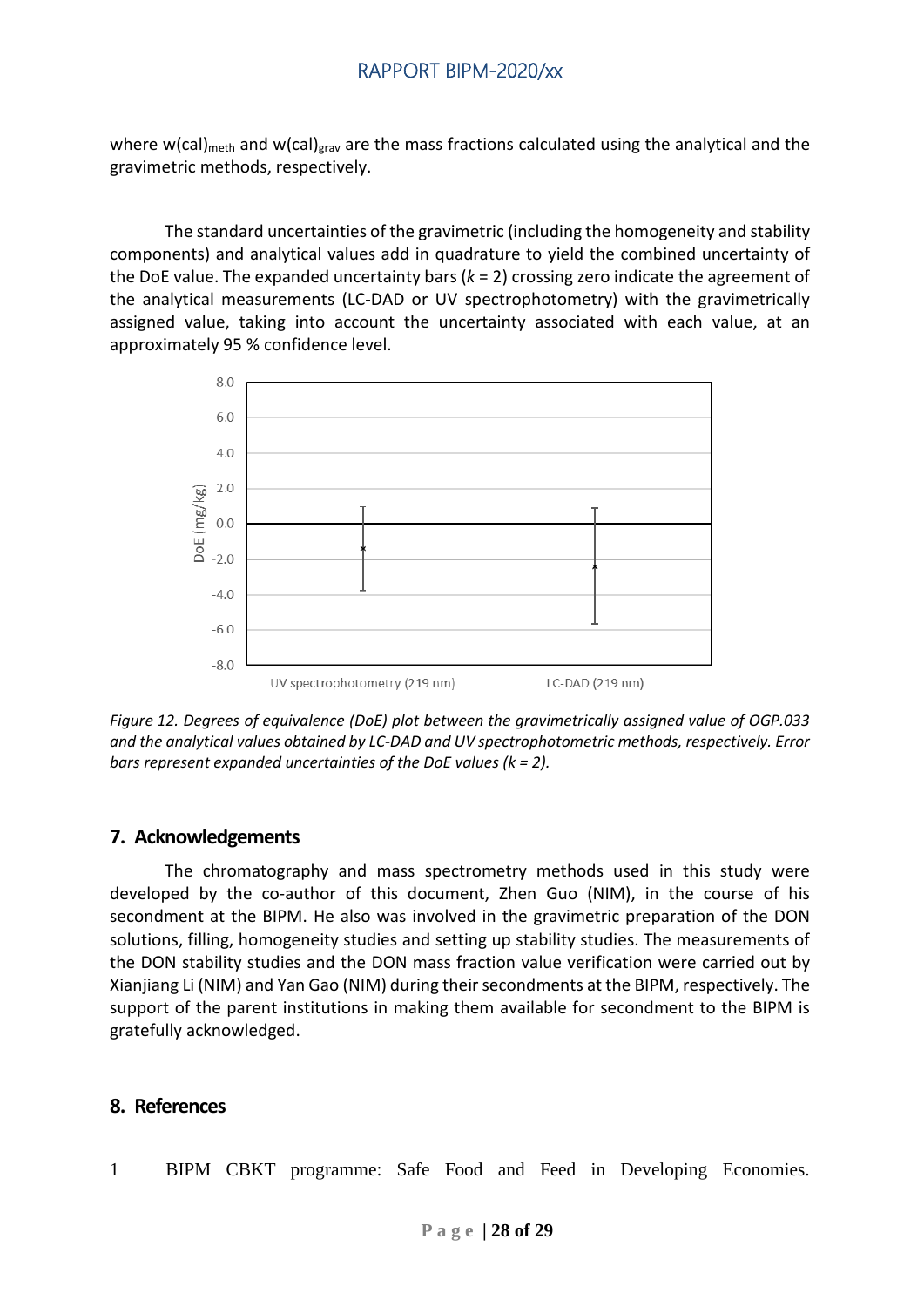where w(cal)<sub>meth</sub> and w(cal)<sub>grav</sub> are the mass fractions calculated using the analytical and the gravimetric methods, respectively.

The standard uncertainties of the gravimetric (including the homogeneity and stability components) and analytical values add in quadrature to yield the combined uncertainty of the DoE value. The expanded uncertainty bars (*k* = 2) crossing zero indicate the agreement of the analytical measurements (LC-DAD or UV spectrophotometry) with the gravimetrically assigned value, taking into account the uncertainty associated with each value, at an approximately 95 % confidence level.



*Figure 12. Degrees of equivalence (DoE) plot between the gravimetrically assigned value of OGP.033 and the analytical values obtained by LC-DAD and UV spectrophotometric methods, respectively. Error bars represent expanded uncertainties of the DoE values (k = 2).*

#### <span id="page-27-0"></span>**7. Acknowledgements**

The chromatography and mass spectrometry methods used in this study were developed by the co-author of this document, Zhen Guo (NIM), in the course of his secondment at the BIPM. He also was involved in the gravimetric preparation of the DON solutions, filling, homogeneity studies and setting up stability studies. The measurements of the DON stability studies and the DON mass fraction value verification were carried out by Xianjiang Li (NIM) and Yan Gao (NIM) during theirsecondments at the BIPM, respectively. The support of the parent institutions in making them available for secondment to the BIPM is gratefully acknowledged.

#### <span id="page-27-1"></span>**8. References**

1 BIPM CBKT programme: Safe Food and Feed in Developing Economies.